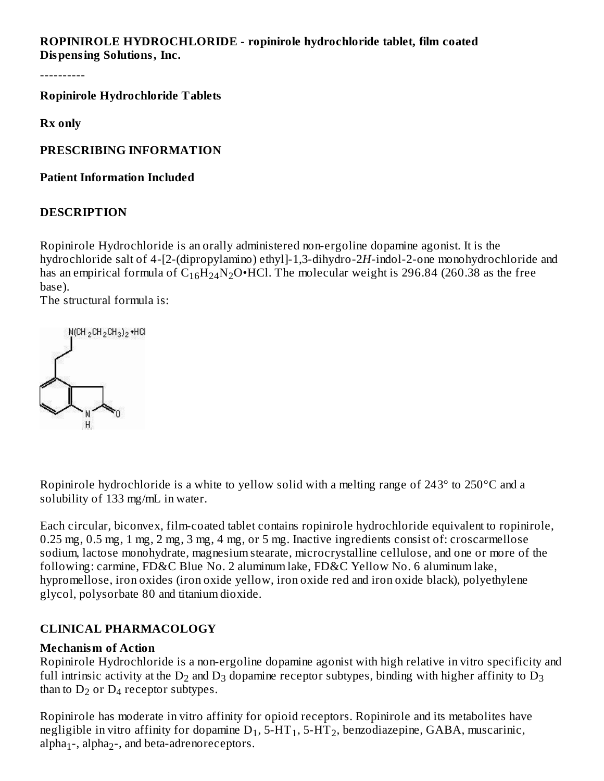**ROPINIROLE HYDROCHLORIDE - ropinirole hydrochloride tablet, film coated Dispensing Solutions, Inc.**

----------

**Ropinirole Hydrochloride Tablets**

**Rx only**

**PRESCRIBING INFORMATION**

**Patient Information Included**

### **DESCRIPTION**

Ropinirole Hydrochloride is an orally administered non-ergoline dopamine agonist. It is the hydrochloride salt of 4-[2-(dipropylamino) ethyl]-1,3-dihydro-2*H*-indol-2-one monohydrochloride and has an empirical formula of  $\rm{C_{16}H_{24}N_{2}O\bullet HCl.}$  The molecular weight is 296.84 (260.38 as the free base).

The structural formula is:



Ropinirole hydrochloride is a white to yellow solid with a melting range of 243° to 250°C and a solubility of 133 mg/mL in water.

Each circular, biconvex, film-coated tablet contains ropinirole hydrochloride equivalent to ropinirole, 0.25 mg, 0.5 mg, 1 mg, 2 mg, 3 mg, 4 mg, or 5 mg. Inactive ingredients consist of: croscarmellose sodium, lactose monohydrate, magnesium stearate, microcrystalline cellulose, and one or more of the following: carmine, FD&C Blue No. 2 aluminum lake, FD&C Yellow No. 6 aluminum lake, hypromellose, iron oxides (iron oxide yellow, iron oxide red and iron oxide black), polyethylene glycol, polysorbate 80 and titanium dioxide.

# **CLINICAL PHARMACOLOGY**

### **Mechanism of Action**

Ropinirole Hydrochloride is a non-ergoline dopamine agonist with high relative in vitro specificity and full intrinsic activity at the  $\mathrm{D}_2$  and  $\mathrm{D}_3$  dopamine receptor subtypes, binding with higher affinity to  $\mathrm{D}_3$ than to  $D_2$  or  $D_4$  receptor subtypes.

Ropinirole has moderate in vitro affinity for opioid receptors. Ropinirole and its metabolites have negligible in vitro affinity for dopamine  $\mathsf{D}_1,$  5-HT  $_1,$  5-HT  $_2$ , benzodiazepine, GABA, muscarinic, alpha<sub>1</sub>-, alpha<sub>2</sub>-, and beta-adrenoreceptors.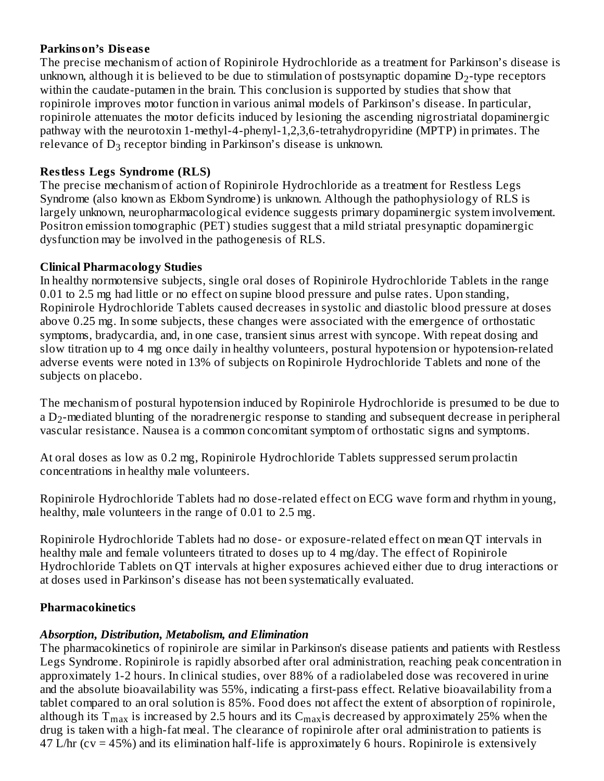#### **Parkinson's Dis eas e**

1 2

The precise mechanism of action of Ropinirole Hydrochloride as a treatment for Parkinson's disease is unknown, although it is believed to be due to stimulation of postsynaptic dopamine  $\mathrm{D}_2$ -type receptors within the caudate-putamen in the brain. This conclusion is supported by studies that show that ropinirole improves motor function in various animal models of Parkinson's disease. In particular, ropinirole attenuates the motor deficits induced by lesioning the ascending nigrostriatal dopaminergic pathway with the neurotoxin 1-methyl-4-phenyl-1,2,3,6-tetrahydropyridine (MPTP) in primates. The relevance of  $D_3$  receptor binding in Parkinson's disease is unknown.

# **Restless Legs Syndrome (RLS)**

The precise mechanism of action of Ropinirole Hydrochloride as a treatment for Restless Legs Syndrome (also known as Ekbom Syndrome) is unknown. Although the pathophysiology of RLS is largely unknown, neuropharmacological evidence suggests primary dopaminergic system involvement. Positron emission tomographic (PET) studies suggest that a mild striatal presynaptic dopaminergic dysfunction may be involved in the pathogenesis of RLS.

### **Clinical Pharmacology Studies**

In healthy normotensive subjects, single oral doses of Ropinirole Hydrochloride Tablets in the range 0.01 to 2.5 mg had little or no effect on supine blood pressure and pulse rates. Upon standing, Ropinirole Hydrochloride Tablets caused decreases in systolic and diastolic blood pressure at doses above 0.25 mg. In some subjects, these changes were associated with the emergence of orthostatic symptoms, bradycardia, and, in one case, transient sinus arrest with syncope. With repeat dosing and slow titration up to 4 mg once daily in healthy volunteers, postural hypotension or hypotension-related adverse events were noted in 13% of subjects on Ropinirole Hydrochloride Tablets and none of the subjects on placebo.

The mechanism of postural hypotension induced by Ropinirole Hydrochloride is presumed to be due to a D $_2$ -mediated blunting of the noradrenergic response to standing and subsequent decrease in peripheral vascular resistance. Nausea is a common concomitant symptom of orthostatic signs and symptoms.

At oral doses as low as 0.2 mg, Ropinirole Hydrochloride Tablets suppressed serum prolactin concentrations in healthy male volunteers.

Ropinirole Hydrochloride Tablets had no dose-related effect on ECG wave form and rhythm in young, healthy, male volunteers in the range of 0.01 to 2.5 mg.

Ropinirole Hydrochloride Tablets had no dose- or exposure-related effect on mean QT intervals in healthy male and female volunteers titrated to doses up to 4 mg/day. The effect of Ropinirole Hydrochloride Tablets on QT intervals at higher exposures achieved either due to drug interactions or at doses used in Parkinson's disease has not been systematically evaluated.

# **Pharmacokinetics**

# *Absorption, Distribution, Metabolism, and Elimination*

The pharmacokinetics of ropinirole are similar in Parkinson's disease patients and patients with Restless Legs Syndrome. Ropinirole is rapidly absorbed after oral administration, reaching peak concentration in approximately 1-2 hours. In clinical studies, over 88% of a radiolabeled dose was recovered in urine and the absolute bioavailability was 55%, indicating a first-pass effect. Relative bioavailability from a tablet compared to an oral solution is 85%. Food does not affect the extent of absorption of ropinirole, although its  $\rm T_{max}$  is increased by 2.5 hours and its  $\rm C_{max}$ is decreased by approximately 25% when the drug is taken with a high-fat meal. The clearance of ropinirole after oral administration to patients is 47 L/hr (cv = 45%) and its elimination half-life is approximately 6 hours. Ropinirole is extensively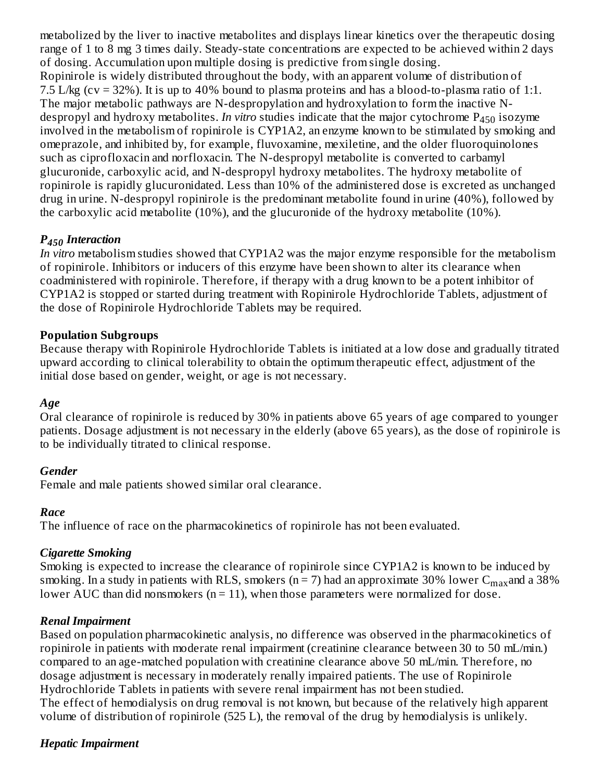metabolized by the liver to inactive metabolites and displays linear kinetics over the therapeutic dosing range of 1 to 8 mg 3 times daily. Steady-state concentrations are expected to be achieved within 2 days of dosing. Accumulation upon multiple dosing is predictive from single dosing. Ropinirole is widely distributed throughout the body, with an apparent volume of distribution of 7.5 L/kg (cv = 32%). It is up to 40% bound to plasma proteins and has a blood-to-plasma ratio of 1:1. The major metabolic pathways are N-despropylation and hydroxylation to form the inactive Ndespropyl and hydroxy metabolites. *In vitro* studies indicate that the major cytochrome P<sub>450</sub> isozyme involved in the metabolism of ropinirole is CYP1A2, an enzyme known to be stimulated by smoking and omeprazole, and inhibited by, for example, fluvoxamine, mexiletine, and the older fluoroquinolones such as ciprofloxacin and norfloxacin. The N-despropyl metabolite is converted to carbamyl glucuronide, carboxylic acid, and N-despropyl hydroxy metabolites. The hydroxy metabolite of ropinirole is rapidly glucuronidated. Less than 10% of the administered dose is excreted as unchanged drug in urine. N-despropyl ropinirole is the predominant metabolite found in urine (40%), followed by the carboxylic acid metabolite (10%), and the glucuronide of the hydroxy metabolite (10%).

# *P Interaction 450*

*In vitro* metabolism studies showed that CYP1A2 was the major enzyme responsible for the metabolism of ropinirole. Inhibitors or inducers of this enzyme have been shown to alter its clearance when coadministered with ropinirole. Therefore, if therapy with a drug known to be a potent inhibitor of CYP1A2 is stopped or started during treatment with Ropinirole Hydrochloride Tablets, adjustment of the dose of Ropinirole Hydrochloride Tablets may be required.

### **Population Subgroups**

Because therapy with Ropinirole Hydrochloride Tablets is initiated at a low dose and gradually titrated upward according to clinical tolerability to obtain the optimum therapeutic effect, adjustment of the initial dose based on gender, weight, or age is not necessary.

#### *Age*

Oral clearance of ropinirole is reduced by 30% in patients above 65 years of age compared to younger patients. Dosage adjustment is not necessary in the elderly (above 65 years), as the dose of ropinirole is to be individually titrated to clinical response.

#### *Gender*

Female and male patients showed similar oral clearance.

#### *Race*

The influence of race on the pharmacokinetics of ropinirole has not been evaluated.

#### *Cigarette Smoking*

Smoking is expected to increase the clearance of ropinirole since CYP1A2 is known to be induced by smoking. In a study in patients with RLS, smokers (n = 7) had an approximate 30% lower  $\rm C_{max}$ and a 38% lower AUC than did nonsmokers ( $n = 11$ ), when those parameters were normalized for dose.

#### *Renal Impairment*

Based on population pharmacokinetic analysis, no difference was observed in the pharmacokinetics of ropinirole in patients with moderate renal impairment (creatinine clearance between 30 to 50 mL/min.) compared to an age-matched population with creatinine clearance above 50 mL/min. Therefore, no dosage adjustment is necessary in moderately renally impaired patients. The use of Ropinirole Hydrochloride Tablets in patients with severe renal impairment has not been studied. The effect of hemodialysis on drug removal is not known, but because of the relatively high apparent volume of distribution of ropinirole (525 L), the removal of the drug by hemodialysis is unlikely.

#### *Hepatic Impairment*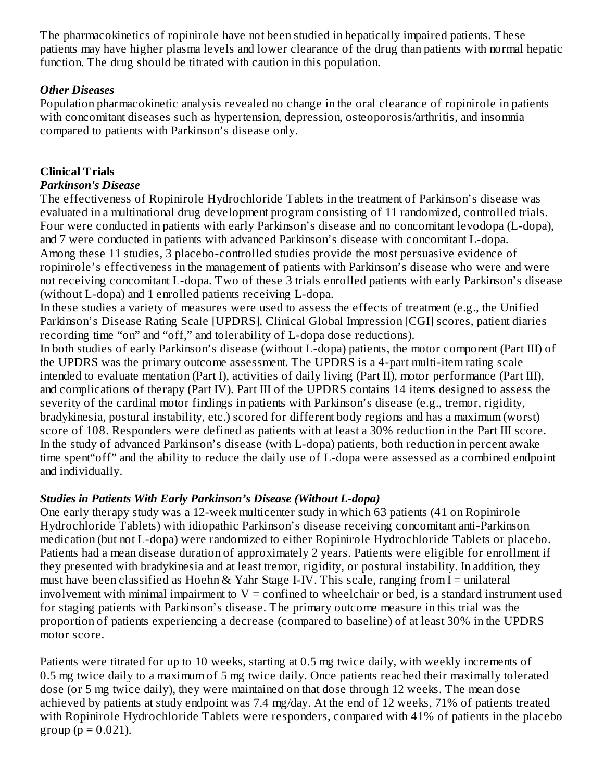The pharmacokinetics of ropinirole have not been studied in hepatically impaired patients. These patients may have higher plasma levels and lower clearance of the drug than patients with normal hepatic function. The drug should be titrated with caution in this population.

### *Other Diseases*

Population pharmacokinetic analysis revealed no change in the oral clearance of ropinirole in patients with concomitant diseases such as hypertension, depression, osteoporosis/arthritis, and insomnia compared to patients with Parkinson's disease only.

# **Clinical Trials**

# *Parkinson's Disease*

The effectiveness of Ropinirole Hydrochloride Tablets in the treatment of Parkinson's disease was evaluated in a multinational drug development program consisting of 11 randomized, controlled trials. Four were conducted in patients with early Parkinson's disease and no concomitant levodopa (L-dopa), and 7 were conducted in patients with advanced Parkinson's disease with concomitant L-dopa. Among these 11 studies, 3 placebo-controlled studies provide the most persuasive evidence of ropinirole's effectiveness in the management of patients with Parkinson's disease who were and were not receiving concomitant L-dopa. Two of these 3 trials enrolled patients with early Parkinson's disease (without L-dopa) and 1 enrolled patients receiving L-dopa.

In these studies a variety of measures were used to assess the effects of treatment (e.g., the Unified Parkinson's Disease Rating Scale [UPDRS], Clinical Global Impression [CGI] scores, patient diaries recording time "on" and "off," and tolerability of L-dopa dose reductions).

In both studies of early Parkinson's disease (without L-dopa) patients, the motor component (Part III) of the UPDRS was the primary outcome assessment. The UPDRS is a 4-part multi-item rating scale intended to evaluate mentation (Part I), activities of daily living (Part II), motor performance (Part III), and complications of therapy (Part IV). Part III of the UPDRS contains 14 items designed to assess the severity of the cardinal motor findings in patients with Parkinson's disease (e.g., tremor, rigidity, bradykinesia, postural instability, etc.) scored for different body regions and has a maximum (worst) score of 108. Responders were defined as patients with at least a 30% reduction in the Part III score. In the study of advanced Parkinson's disease (with L-dopa) patients, both reduction in percent awake time spent"off" and the ability to reduce the daily use of L-dopa were assessed as a combined endpoint and individually.

### *Studies in Patients With Early Parkinson's Disease (Without L-dopa)*

One early therapy study was a 12-week multicenter study in which 63 patients (41 on Ropinirole Hydrochloride Tablets) with idiopathic Parkinson's disease receiving concomitant anti-Parkinson medication (but not L-dopa) were randomized to either Ropinirole Hydrochloride Tablets or placebo. Patients had a mean disease duration of approximately 2 years. Patients were eligible for enrollment if they presented with bradykinesia and at least tremor, rigidity, or postural instability. In addition, they must have been classified as Hoehn & Yahr Stage I-IV. This scale, ranging from I = unilateral involvement with minimal impairment to  $V =$  confined to wheelchair or bed, is a standard instrument used for staging patients with Parkinson's disease. The primary outcome measure in this trial was the proportion of patients experiencing a decrease (compared to baseline) of at least 30% in the UPDRS motor score.

Patients were titrated for up to 10 weeks, starting at 0.5 mg twice daily, with weekly increments of 0.5 mg twice daily to a maximum of 5 mg twice daily. Once patients reached their maximally tolerated dose (or 5 mg twice daily), they were maintained on that dose through 12 weeks. The mean dose achieved by patients at study endpoint was 7.4 mg/day. At the end of 12 weeks, 71% of patients treated with Ropinirole Hydrochloride Tablets were responders, compared with 41% of patients in the placebo group ( $p = 0.021$ ).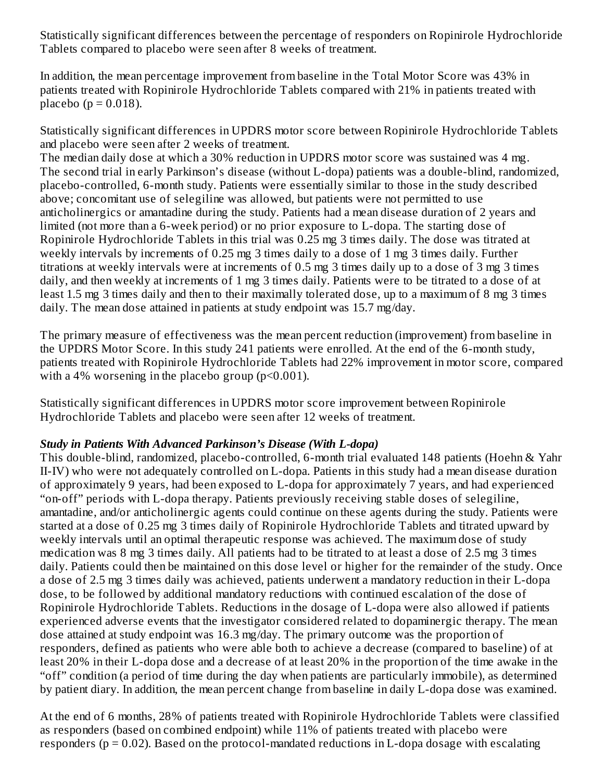Statistically significant differences between the percentage of responders on Ropinirole Hydrochloride Tablets compared to placebo were seen after 8 weeks of treatment.

In addition, the mean percentage improvement from baseline in the Total Motor Score was 43% in patients treated with Ropinirole Hydrochloride Tablets compared with 21% in patients treated with placebo ( $p = 0.018$ ).

Statistically significant differences in UPDRS motor score between Ropinirole Hydrochloride Tablets and placebo were seen after 2 weeks of treatment.

The median daily dose at which a 30% reduction in UPDRS motor score was sustained was 4 mg. The second trial in early Parkinson's disease (without L-dopa) patients was a double-blind, randomized, placebo-controlled, 6-month study. Patients were essentially similar to those in the study described above; concomitant use of selegiline was allowed, but patients were not permitted to use anticholinergics or amantadine during the study. Patients had a mean disease duration of 2 years and limited (not more than a 6-week period) or no prior exposure to L-dopa. The starting dose of Ropinirole Hydrochloride Tablets in this trial was 0.25 mg 3 times daily. The dose was titrated at weekly intervals by increments of 0.25 mg 3 times daily to a dose of 1 mg 3 times daily. Further titrations at weekly intervals were at increments of 0.5 mg 3 times daily up to a dose of 3 mg 3 times daily, and then weekly at increments of 1 mg 3 times daily. Patients were to be titrated to a dose of at least 1.5 mg 3 times daily and then to their maximally tolerated dose, up to a maximum of 8 mg 3 times daily. The mean dose attained in patients at study endpoint was 15.7 mg/day.

The primary measure of effectiveness was the mean percent reduction (improvement) from baseline in the UPDRS Motor Score. In this study 241 patients were enrolled. At the end of the 6-month study, patients treated with Ropinirole Hydrochloride Tablets had 22% improvement in motor score, compared with a 4% worsening in the placebo group  $(p<0.001)$ .

Statistically significant differences in UPDRS motor score improvement between Ropinirole Hydrochloride Tablets and placebo were seen after 12 weeks of treatment.

#### *Study in Patients With Advanced Parkinson's Disease (With L-dopa)*

This double-blind, randomized, placebo-controlled, 6-month trial evaluated 148 patients (Hoehn & Yahr II-IV) who were not adequately controlled on L-dopa. Patients in this study had a mean disease duration of approximately 9 years, had been exposed to L-dopa for approximately 7 years, and had experienced "on-off" periods with L-dopa therapy. Patients previously receiving stable doses of selegiline, amantadine, and/or anticholinergic agents could continue on these agents during the study. Patients were started at a dose of 0.25 mg 3 times daily of Ropinirole Hydrochloride Tablets and titrated upward by weekly intervals until an optimal therapeutic response was achieved. The maximum dose of study medication was 8 mg 3 times daily. All patients had to be titrated to at least a dose of 2.5 mg 3 times daily. Patients could then be maintained on this dose level or higher for the remainder of the study. Once a dose of 2.5 mg 3 times daily was achieved, patients underwent a mandatory reduction in their L-dopa dose, to be followed by additional mandatory reductions with continued escalation of the dose of Ropinirole Hydrochloride Tablets. Reductions in the dosage of L-dopa were also allowed if patients experienced adverse events that the investigator considered related to dopaminergic therapy. The mean dose attained at study endpoint was 16.3 mg/day. The primary outcome was the proportion of responders, defined as patients who were able both to achieve a decrease (compared to baseline) of at least 20% in their L-dopa dose and a decrease of at least 20% in the proportion of the time awake in the "off" condition (a period of time during the day when patients are particularly immobile), as determined by patient diary. In addition, the mean percent change from baseline in daily L-dopa dose was examined.

At the end of 6 months, 28% of patients treated with Ropinirole Hydrochloride Tablets were classified as responders (based on combined endpoint) while 11% of patients treated with placebo were responders ( $p = 0.02$ ). Based on the protocol-mandated reductions in L-dopa dosage with escalating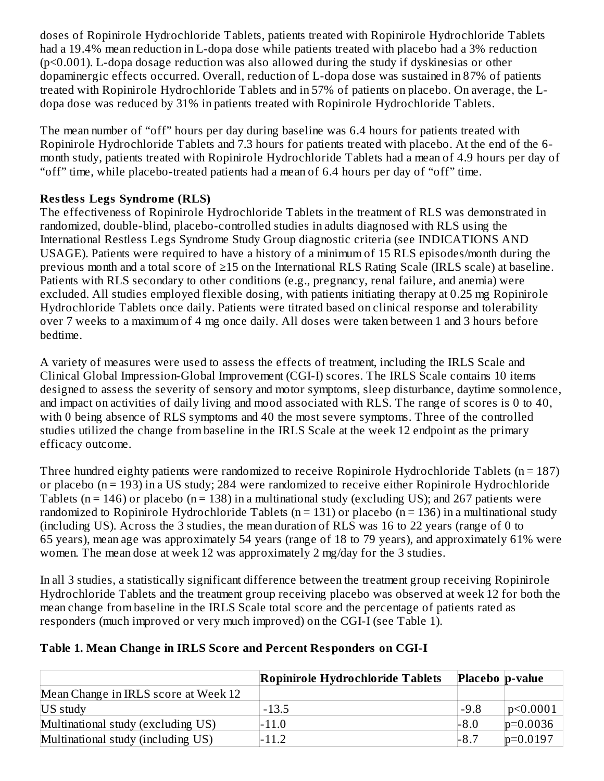doses of Ropinirole Hydrochloride Tablets, patients treated with Ropinirole Hydrochloride Tablets had a 19.4% mean reduction in L-dopa dose while patients treated with placebo had a 3% reduction (p<0.001). L-dopa dosage reduction was also allowed during the study if dyskinesias or other dopaminergic effects occurred. Overall, reduction of L-dopa dose was sustained in 87% of patients treated with Ropinirole Hydrochloride Tablets and in 57% of patients on placebo. On average, the Ldopa dose was reduced by 31% in patients treated with Ropinirole Hydrochloride Tablets.

The mean number of "off" hours per day during baseline was 6.4 hours for patients treated with Ropinirole Hydrochloride Tablets and 7.3 hours for patients treated with placebo. At the end of the 6 month study, patients treated with Ropinirole Hydrochloride Tablets had a mean of 4.9 hours per day of "off" time, while placebo-treated patients had a mean of 6.4 hours per day of "off" time.

# **Restless Legs Syndrome (RLS)**

The effectiveness of Ropinirole Hydrochloride Tablets in the treatment of RLS was demonstrated in randomized, double-blind, placebo-controlled studies in adults diagnosed with RLS using the International Restless Legs Syndrome Study Group diagnostic criteria (see INDICATIONS AND USAGE). Patients were required to have a history of a minimum of 15 RLS episodes/month during the previous month and a total score of ≥15 on the International RLS Rating Scale (IRLS scale) at baseline. Patients with RLS secondary to other conditions (e.g., pregnancy, renal failure, and anemia) were excluded. All studies employed flexible dosing, with patients initiating therapy at 0.25 mg Ropinirole Hydrochloride Tablets once daily. Patients were titrated based on clinical response and tolerability over 7 weeks to a maximum of 4 mg once daily. All doses were taken between 1 and 3 hours before bedtime.

A variety of measures were used to assess the effects of treatment, including the IRLS Scale and Clinical Global Impression-Global Improvement (CGI-I) scores. The IRLS Scale contains 10 items designed to assess the severity of sensory and motor symptoms, sleep disturbance, daytime somnolence, and impact on activities of daily living and mood associated with RLS. The range of scores is 0 to 40, with 0 being absence of RLS symptoms and 40 the most severe symptoms. Three of the controlled studies utilized the change from baseline in the IRLS Scale at the week 12 endpoint as the primary efficacy outcome.

Three hundred eighty patients were randomized to receive Ropinirole Hydrochloride Tablets (n = 187) or placebo (n = 193) in a US study; 284 were randomized to receive either Ropinirole Hydrochloride Tablets ( $n = 146$ ) or placebo ( $n = 138$ ) in a multinational study (excluding US); and 267 patients were randomized to Ropinirole Hydrochloride Tablets (n = 131) or placebo (n = 136) in a multinational study (including US). Across the 3 studies, the mean duration of RLS was 16 to 22 years (range of 0 to 65 years), mean age was approximately 54 years (range of 18 to 79 years), and approximately 61% were women. The mean dose at week 12 was approximately 2 mg/day for the 3 studies.

In all 3 studies, a statistically significant difference between the treatment group receiving Ropinirole Hydrochloride Tablets and the treatment group receiving placebo was observed at week 12 for both the mean change from baseline in the IRLS Scale total score and the percentage of patients rated as responders (much improved or very much improved) on the CGI-I (see Table 1).

# **Table 1. Mean Change in IRLS Score and Percent Responders on CGI-I**

|                                      | Ropinirole Hydrochloride Tablets | Placebo p-value |              |
|--------------------------------------|----------------------------------|-----------------|--------------|
| Mean Change in IRLS score at Week 12 |                                  |                 |              |
| US study                             | $-13.5$                          | $-9.8$          | p<0.0001     |
| Multinational study (excluding US)   | $-11.0$                          | $-8.0$          | $ p=0.0036 $ |
| Multinational study (including US)   | $-11.2$                          | $-8.7$          | $ p=0.0197$  |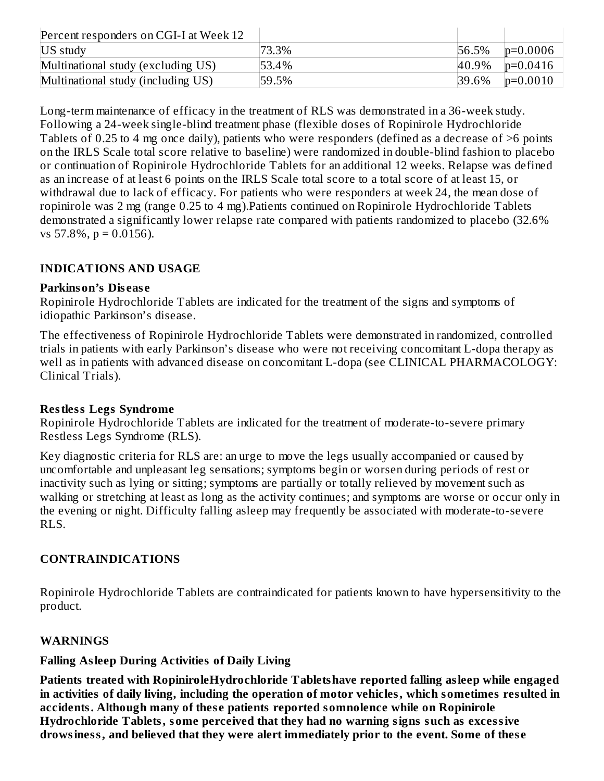| Percent responders on CGI-I at Week 12 |       |           |              |
|----------------------------------------|-------|-----------|--------------|
| US study                               | 73.3% | 56.5%     | $ p=0.0006 $ |
| Multinational study (excluding US)     | 53.4% | $ 40.9\%$ | $p=0.0416$   |
| Multinational study (including US)     | 59.5% | 39.6%     | $ p=0.0010$  |

Long-term maintenance of efficacy in the treatment of RLS was demonstrated in a 36-week study. Following a 24-week single-blind treatment phase (flexible doses of Ropinirole Hydrochloride Tablets of 0.25 to 4 mg once daily), patients who were responders (defined as a decrease of >6 points on the IRLS Scale total score relative to baseline) were randomized in double-blind fashion to placebo or continuation of Ropinirole Hydrochloride Tablets for an additional 12 weeks. Relapse was defined as an increase of at least 6 points on the IRLS Scale total score to a total score of at least 15, or withdrawal due to lack of efficacy. For patients who were responders at week 24, the mean dose of ropinirole was 2 mg (range 0.25 to 4 mg).Patients continued on Ropinirole Hydrochloride Tablets demonstrated a significantly lower relapse rate compared with patients randomized to placebo (32.6% vs  $57.8\%$ ,  $p = 0.0156$ ).

# **INDICATIONS AND USAGE**

### **Parkinson's Dis eas e**

Ropinirole Hydrochloride Tablets are indicated for the treatment of the signs and symptoms of idiopathic Parkinson's disease.

The effectiveness of Ropinirole Hydrochloride Tablets were demonstrated in randomized, controlled trials in patients with early Parkinson's disease who were not receiving concomitant L-dopa therapy as well as in patients with advanced disease on concomitant L-dopa (see CLINICAL PHARMACOLOGY: Clinical Trials).

### **Restless Legs Syndrome**

Ropinirole Hydrochloride Tablets are indicated for the treatment of moderate-to-severe primary Restless Legs Syndrome (RLS).

Key diagnostic criteria for RLS are: an urge to move the legs usually accompanied or caused by uncomfortable and unpleasant leg sensations; symptoms begin or worsen during periods of rest or inactivity such as lying or sitting; symptoms are partially or totally relieved by movement such as walking or stretching at least as long as the activity continues; and symptoms are worse or occur only in the evening or night. Difficulty falling asleep may frequently be associated with moderate-to-severe RLS.

# **CONTRAINDICATIONS**

Ropinirole Hydrochloride Tablets are contraindicated for patients known to have hypersensitivity to the product.

### **WARNINGS**

### **Falling Asleep During Activities of Daily Living**

**Patients treated with RopiniroleHydrochloride Tabletshave reported falling asleep while engaged in activities of daily living, including the operation of motor vehicles, which sometimes resulted in accidents. Although many of thes e patients reported somnolence while on Ropinirole Hydrochloride Tablets, some perceived that they had no warning signs such as excessive drowsiness, and believed that they were alert immediately prior to the event. Some of thes e**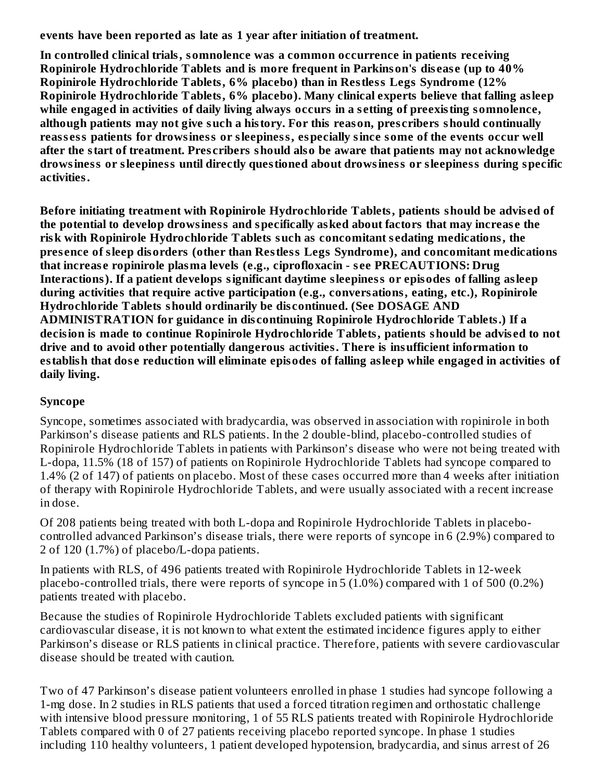**events have been reported as late as 1 year after initiation of treatment.**

**In controlled clinical trials, somnolence was a common occurrence in patients receiving Ropinirole Hydrochloride Tablets and is more frequent in Parkinson's dis eas e (up to 40% Ropinirole Hydrochloride Tablets, 6% placebo) than in Restless Legs Syndrome (12% Ropinirole Hydrochloride Tablets, 6% placebo). Many clinical experts believe that falling asleep while engaged in activities of daily living always occurs in a s etting of preexisting somnolence, although patients may not give such a history. For this reason, pres cribers should continually reass ess patients for drowsiness or sleepiness, especially since some of the events occur well after the start of treatment. Pres cribers should also be aware that patients may not acknowledge drowsiness or sleepiness until directly questioned about drowsiness or sleepiness during specific activities.**

**Before initiating treatment with Ropinirole Hydrochloride Tablets, patients should be advis ed of the potential to develop drowsiness and specifically asked about factors that may increas e the risk with Ropinirole Hydrochloride Tablets such as concomitant s edating medications, the pres ence of sleep disorders (other than Restless Legs Syndrome), and concomitant medications that increas e ropinirole plasma levels (e.g., ciprofloxacin - s ee PRECAUTIONS: Drug Interactions). If a patient develops significant daytime sleepiness or episodes of falling asleep during activities that require active participation (e.g., conversations, eating, etc.), Ropinirole Hydrochloride Tablets should ordinarily be dis continued. (See DOSAGE AND ADMINISTRATION for guidance in dis continuing Ropinirole Hydrochloride Tablets.) If a decision is made to continue Ropinirole Hydrochloride Tablets, patients should be advis ed to not drive and to avoid other potentially dangerous activities. There is insufficient information to establish that dos e reduction will eliminate episodes of falling asleep while engaged in activities of daily living.**

### **Syncope**

Syncope, sometimes associated with bradycardia, was observed in association with ropinirole in both Parkinson's disease patients and RLS patients. In the 2 double-blind, placebo-controlled studies of Ropinirole Hydrochloride Tablets in patients with Parkinson's disease who were not being treated with L-dopa, 11.5% (18 of 157) of patients on Ropinirole Hydrochloride Tablets had syncope compared to 1.4% (2 of 147) of patients on placebo. Most of these cases occurred more than 4 weeks after initiation of therapy with Ropinirole Hydrochloride Tablets, and were usually associated with a recent increase in dose.

Of 208 patients being treated with both L-dopa and Ropinirole Hydrochloride Tablets in placebocontrolled advanced Parkinson's disease trials, there were reports of syncope in 6 (2.9%) compared to 2 of 120 (1.7%) of placebo/L-dopa patients.

In patients with RLS, of 496 patients treated with Ropinirole Hydrochloride Tablets in 12-week placebo-controlled trials, there were reports of syncope in 5 (1.0%) compared with 1 of 500 (0.2%) patients treated with placebo.

Because the studies of Ropinirole Hydrochloride Tablets excluded patients with significant cardiovascular disease, it is not known to what extent the estimated incidence figures apply to either Parkinson's disease or RLS patients in clinical practice. Therefore, patients with severe cardiovascular disease should be treated with caution.

Two of 47 Parkinson's disease patient volunteers enrolled in phase 1 studies had syncope following a 1-mg dose. In 2 studies in RLS patients that used a forced titration regimen and orthostatic challenge with intensive blood pressure monitoring, 1 of 55 RLS patients treated with Ropinirole Hydrochloride Tablets compared with 0 of 27 patients receiving placebo reported syncope. In phase 1 studies including 110 healthy volunteers, 1 patient developed hypotension, bradycardia, and sinus arrest of 26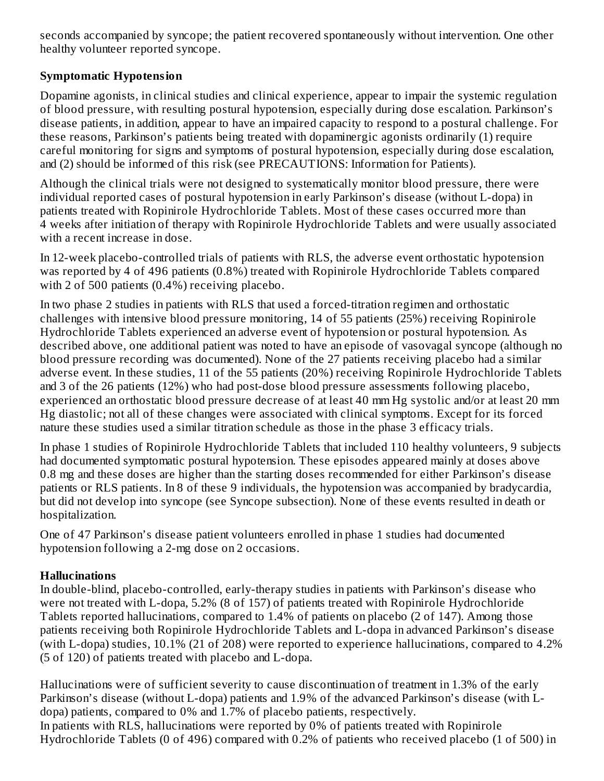seconds accompanied by syncope; the patient recovered spontaneously without intervention. One other healthy volunteer reported syncope.

# **Symptomatic Hypotension**

Dopamine agonists, in clinical studies and clinical experience, appear to impair the systemic regulation of blood pressure, with resulting postural hypotension, especially during dose escalation. Parkinson's disease patients, in addition, appear to have an impaired capacity to respond to a postural challenge. For these reasons, Parkinson's patients being treated with dopaminergic agonists ordinarily (1) require careful monitoring for signs and symptoms of postural hypotension, especially during dose escalation, and (2) should be informed of this risk (see PRECAUTIONS: Information for Patients).

Although the clinical trials were not designed to systematically monitor blood pressure, there were individual reported cases of postural hypotension in early Parkinson's disease (without L-dopa) in patients treated with Ropinirole Hydrochloride Tablets. Most of these cases occurred more than 4 weeks after initiation of therapy with Ropinirole Hydrochloride Tablets and were usually associated with a recent increase in dose.

In 12-week placebo-controlled trials of patients with RLS, the adverse event orthostatic hypotension was reported by 4 of 496 patients (0.8%) treated with Ropinirole Hydrochloride Tablets compared with 2 of 500 patients (0.4%) receiving placebo.

In two phase 2 studies in patients with RLS that used a forced-titration regimen and orthostatic challenges with intensive blood pressure monitoring, 14 of 55 patients (25%) receiving Ropinirole Hydrochloride Tablets experienced an adverse event of hypotension or postural hypotension. As described above, one additional patient was noted to have an episode of vasovagal syncope (although no blood pressure recording was documented). None of the 27 patients receiving placebo had a similar adverse event. In these studies, 11 of the 55 patients (20%) receiving Ropinirole Hydrochloride Tablets and 3 of the 26 patients (12%) who had post-dose blood pressure assessments following placebo, experienced an orthostatic blood pressure decrease of at least 40 mm Hg systolic and/or at least 20 mm Hg diastolic; not all of these changes were associated with clinical symptoms. Except for its forced nature these studies used a similar titration schedule as those in the phase 3 efficacy trials.

In phase 1 studies of Ropinirole Hydrochloride Tablets that included 110 healthy volunteers, 9 subjects had documented symptomatic postural hypotension. These episodes appeared mainly at doses above 0.8 mg and these doses are higher than the starting doses recommended for either Parkinson's disease patients or RLS patients. In 8 of these 9 individuals, the hypotension was accompanied by bradycardia, but did not develop into syncope (see Syncope subsection). None of these events resulted in death or hospitalization.

One of 47 Parkinson's disease patient volunteers enrolled in phase 1 studies had documented hypotension following a 2-mg dose on 2 occasions.

### **Hallucinations**

In double-blind, placebo-controlled, early-therapy studies in patients with Parkinson's disease who were not treated with L-dopa, 5.2% (8 of 157) of patients treated with Ropinirole Hydrochloride Tablets reported hallucinations, compared to 1.4% of patients on placebo (2 of 147). Among those patients receiving both Ropinirole Hydrochloride Tablets and L-dopa in advanced Parkinson's disease (with L-dopa) studies, 10.1% (21 of 208) were reported to experience hallucinations, compared to 4.2% (5 of 120) of patients treated with placebo and L-dopa.

Hallucinations were of sufficient severity to cause discontinuation of treatment in 1.3% of the early Parkinson's disease (without L-dopa) patients and 1.9% of the advanced Parkinson's disease (with Ldopa) patients, compared to 0% and 1.7% of placebo patients, respectively. In patients with RLS, hallucinations were reported by 0% of patients treated with Ropinirole Hydrochloride Tablets (0 of 496) compared with 0.2% of patients who received placebo (1 of 500) in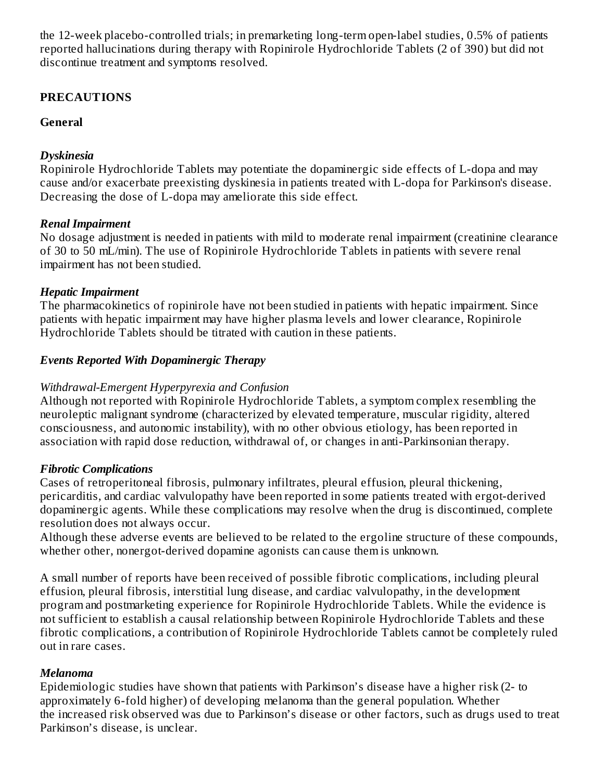the 12-week placebo-controlled trials; in premarketing long-term open-label studies, 0.5% of patients reported hallucinations during therapy with Ropinirole Hydrochloride Tablets (2 of 390) but did not discontinue treatment and symptoms resolved.

# **PRECAUTIONS**

# **General**

# *Dyskinesia*

Ropinirole Hydrochloride Tablets may potentiate the dopaminergic side effects of L-dopa and may cause and/or exacerbate preexisting dyskinesia in patients treated with L-dopa for Parkinson's disease. Decreasing the dose of L-dopa may ameliorate this side effect.

# *Renal Impairment*

No dosage adjustment is needed in patients with mild to moderate renal impairment (creatinine clearance of 30 to 50 mL/min). The use of Ropinirole Hydrochloride Tablets in patients with severe renal impairment has not been studied.

# *Hepatic Impairment*

The pharmacokinetics of ropinirole have not been studied in patients with hepatic impairment. Since patients with hepatic impairment may have higher plasma levels and lower clearance, Ropinirole Hydrochloride Tablets should be titrated with caution in these patients.

# *Events Reported With Dopaminergic Therapy*

# *Withdrawal-Emergent Hyperpyrexia and Confusion*

Although not reported with Ropinirole Hydrochloride Tablets, a symptom complex resembling the neuroleptic malignant syndrome (characterized by elevated temperature, muscular rigidity, altered consciousness, and autonomic instability), with no other obvious etiology, has been reported in association with rapid dose reduction, withdrawal of, or changes in anti-Parkinsonian therapy.

# *Fibrotic Complications*

Cases of retroperitoneal fibrosis, pulmonary infiltrates, pleural effusion, pleural thickening, pericarditis, and cardiac valvulopathy have been reported in some patients treated with ergot-derived dopaminergic agents. While these complications may resolve when the drug is discontinued, complete resolution does not always occur.

Although these adverse events are believed to be related to the ergoline structure of these compounds, whether other, nonergot-derived dopamine agonists can cause them is unknown.

A small number of reports have been received of possible fibrotic complications, including pleural effusion, pleural fibrosis, interstitial lung disease, and cardiac valvulopathy, in the development program and postmarketing experience for Ropinirole Hydrochloride Tablets. While the evidence is not sufficient to establish a causal relationship between Ropinirole Hydrochloride Tablets and these fibrotic complications, a contribution of Ropinirole Hydrochloride Tablets cannot be completely ruled out in rare cases.

# *Melanoma*

Epidemiologic studies have shown that patients with Parkinson's disease have a higher risk (2- to approximately 6-fold higher) of developing melanoma than the general population. Whether the increased risk observed was due to Parkinson's disease or other factors, such as drugs used to treat Parkinson's disease, is unclear.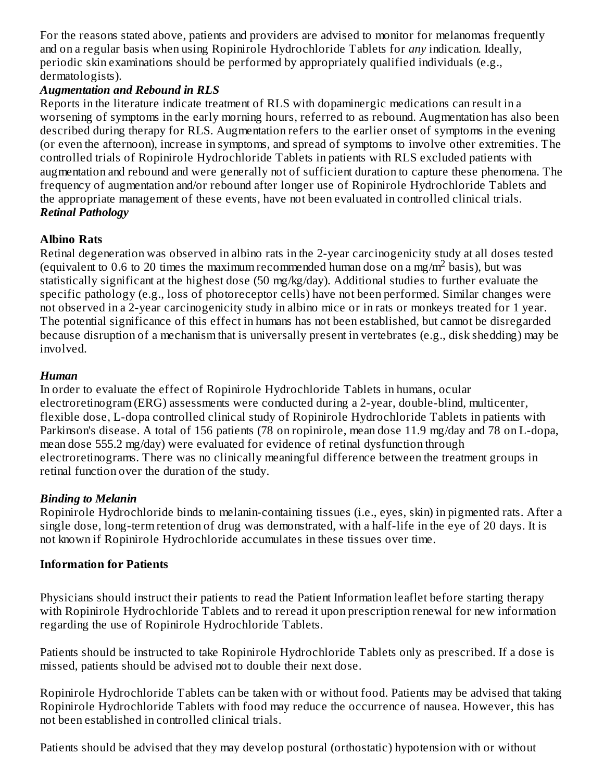For the reasons stated above, patients and providers are advised to monitor for melanomas frequently and on a regular basis when using Ropinirole Hydrochloride Tablets for *any* indication. Ideally, periodic skin examinations should be performed by appropriately qualified individuals (e.g., dermatologists).

### *Augmentation and Rebound in RLS*

Reports in the literature indicate treatment of RLS with dopaminergic medications can result in a worsening of symptoms in the early morning hours, referred to as rebound. Augmentation has also been described during therapy for RLS. Augmentation refers to the earlier onset of symptoms in the evening (or even the afternoon), increase in symptoms, and spread of symptoms to involve other extremities. The controlled trials of Ropinirole Hydrochloride Tablets in patients with RLS excluded patients with augmentation and rebound and were generally not of sufficient duration to capture these phenomena. The frequency of augmentation and/or rebound after longer use of Ropinirole Hydrochloride Tablets and the appropriate management of these events, have not been evaluated in controlled clinical trials. *Retinal Pathology*

# **Albino Rats**

Retinal degeneration was observed in albino rats in the 2-year carcinogenicity study at all doses tested (equivalent to 0.6 to 20 times the maximum recommended human dose on a mg/m<sup>2</sup> basis), but was statistically significant at the highest dose (50 mg/kg/day). Additional studies to further evaluate the specific pathology (e.g., loss of photoreceptor cells) have not been performed. Similar changes were not observed in a 2-year carcinogenicity study in albino mice or in rats or monkeys treated for 1 year. The potential significance of this effect in humans has not been established, but cannot be disregarded because disruption of a mechanism that is universally present in vertebrates (e.g., disk shedding) may be involved.

### *Human*

In order to evaluate the effect of Ropinirole Hydrochloride Tablets in humans, ocular electroretinogram (ERG) assessments were conducted during a 2-year, double-blind, multicenter, flexible dose, L-dopa controlled clinical study of Ropinirole Hydrochloride Tablets in patients with Parkinson's disease. A total of 156 patients (78 on ropinirole, mean dose 11.9 mg/day and 78 on L-dopa, mean dose 555.2 mg/day) were evaluated for evidence of retinal dysfunction through electroretinograms. There was no clinically meaningful difference between the treatment groups in retinal function over the duration of the study.

### *Binding to Melanin*

Ropinirole Hydrochloride binds to melanin-containing tissues (i.e., eyes, skin) in pigmented rats. After a single dose, long-term retention of drug was demonstrated, with a half-life in the eye of 20 days. It is not known if Ropinirole Hydrochloride accumulates in these tissues over time.

### **Information for Patients**

Physicians should instruct their patients to read the Patient Information leaflet before starting therapy with Ropinirole Hydrochloride Tablets and to reread it upon prescription renewal for new information regarding the use of Ropinirole Hydrochloride Tablets.

Patients should be instructed to take Ropinirole Hydrochloride Tablets only as prescribed. If a dose is missed, patients should be advised not to double their next dose.

Ropinirole Hydrochloride Tablets can be taken with or without food. Patients may be advised that taking Ropinirole Hydrochloride Tablets with food may reduce the occurrence of nausea. However, this has not been established in controlled clinical trials.

Patients should be advised that they may develop postural (orthostatic) hypotension with or without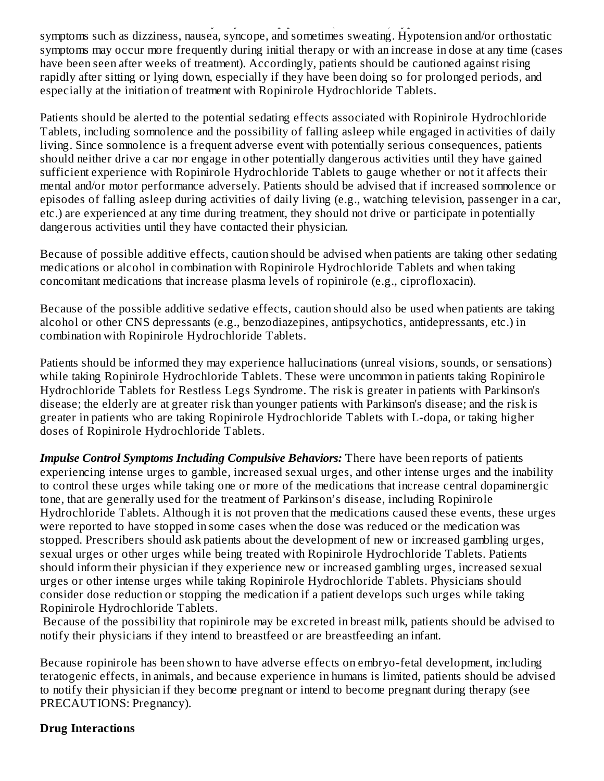Patients should be advised that they may develop postural (orthostatic) hypotension with or without symptoms such as dizziness, nausea, syncope, and sometimes sweating. Hypotension and/or orthostatic symptoms may occur more frequently during initial therapy or with an increase in dose at any time (cases have been seen after weeks of treatment). Accordingly, patients should be cautioned against rising rapidly after sitting or lying down, especially if they have been doing so for prolonged periods, and especially at the initiation of treatment with Ropinirole Hydrochloride Tablets.

Patients should be alerted to the potential sedating effects associated with Ropinirole Hydrochloride Tablets, including somnolence and the possibility of falling asleep while engaged in activities of daily living. Since somnolence is a frequent adverse event with potentially serious consequences, patients should neither drive a car nor engage in other potentially dangerous activities until they have gained sufficient experience with Ropinirole Hydrochloride Tablets to gauge whether or not it affects their mental and/or motor performance adversely. Patients should be advised that if increased somnolence or episodes of falling asleep during activities of daily living (e.g., watching television, passenger in a car, etc.) are experienced at any time during treatment, they should not drive or participate in potentially dangerous activities until they have contacted their physician.

Because of possible additive effects, caution should be advised when patients are taking other sedating medications or alcohol in combination with Ropinirole Hydrochloride Tablets and when taking concomitant medications that increase plasma levels of ropinirole (e.g., ciprofloxacin).

Because of the possible additive sedative effects, caution should also be used when patients are taking alcohol or other CNS depressants (e.g., benzodiazepines, antipsychotics, antidepressants, etc.) in combination with Ropinirole Hydrochloride Tablets.

Patients should be informed they may experience hallucinations (unreal visions, sounds, or sensations) while taking Ropinirole Hydrochloride Tablets. These were uncommon in patients taking Ropinirole Hydrochloride Tablets for Restless Legs Syndrome. The risk is greater in patients with Parkinson's disease; the elderly are at greater risk than younger patients with Parkinson's disease; and the risk is greater in patients who are taking Ropinirole Hydrochloride Tablets with L-dopa, or taking higher doses of Ropinirole Hydrochloride Tablets.

*Impulse Control Symptoms Including Compulsive Behaviors:* There have been reports of patients experiencing intense urges to gamble, increased sexual urges, and other intense urges and the inability to control these urges while taking one or more of the medications that increase central dopaminergic tone, that are generally used for the treatment of Parkinson's disease, including Ropinirole Hydrochloride Tablets. Although it is not proven that the medications caused these events, these urges were reported to have stopped in some cases when the dose was reduced or the medication was stopped. Prescribers should ask patients about the development of new or increased gambling urges, sexual urges or other urges while being treated with Ropinirole Hydrochloride Tablets. Patients should inform their physician if they experience new or increased gambling urges, increased sexual urges or other intense urges while taking Ropinirole Hydrochloride Tablets. Physicians should consider dose reduction or stopping the medication if a patient develops such urges while taking Ropinirole Hydrochloride Tablets.

Because of the possibility that ropinirole may be excreted in breast milk, patients should be advised to notify their physicians if they intend to breastfeed or are breastfeeding an infant.

Because ropinirole has been shown to have adverse effects on embryo-fetal development, including teratogenic effects, in animals, and because experience in humans is limited, patients should be advised to notify their physician if they become pregnant or intend to become pregnant during therapy (see PRECAUTIONS: Pregnancy).

### **Drug Interactions**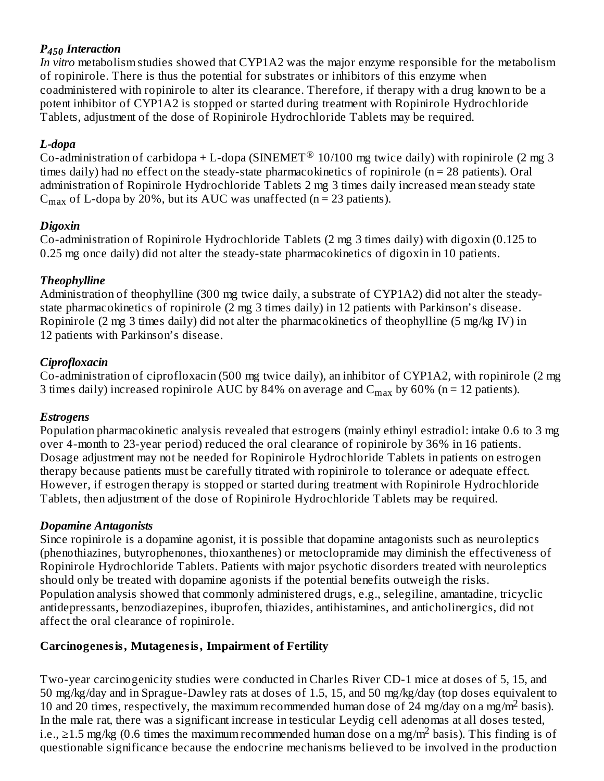# *P Interaction 450*

*In vitro* metabolism studies showed that CYP1A2 was the major enzyme responsible for the metabolism of ropinirole. There is thus the potential for substrates or inhibitors of this enzyme when coadministered with ropinirole to alter its clearance. Therefore, if therapy with a drug known to be a potent inhibitor of CYP1A2 is stopped or started during treatment with Ropinirole Hydrochloride Tablets, adjustment of the dose of Ropinirole Hydrochloride Tablets may be required.

# *L-dopa*

Co-administration of carbidopa + L-dopa (SINEMET  $^{\circledR}$  10/100 mg twice daily) with ropinirole (2 mg 3 times daily) had no effect on the steady-state pharmacokinetics of ropinirole (n = 28 patients). Oral administration of Ropinirole Hydrochloride Tablets 2 mg 3 times daily increased mean steady state  $C_{\text{max}}$  of L-dopa by 20%, but its AUC was unaffected (n = 23 patients).

# *Digoxin*

Co-administration of Ropinirole Hydrochloride Tablets (2 mg 3 times daily) with digoxin (0.125 to 0.25 mg once daily) did not alter the steady-state pharmacokinetics of digoxin in 10 patients.

# *Theophylline*

Administration of theophylline (300 mg twice daily, a substrate of CYP1A2) did not alter the steadystate pharmacokinetics of ropinirole (2 mg 3 times daily) in 12 patients with Parkinson's disease. Ropinirole (2 mg 3 times daily) did not alter the pharmacokinetics of theophylline (5 mg/kg IV) in 12 patients with Parkinson's disease.

# *Ciprofloxacin*

Co-administration of ciprofloxacin (500 mg twice daily), an inhibitor of CYP1A2, with ropinirole (2 mg 3 times daily) increased ropinirole AUC by 84% on average and  $\rm{C_{max}}$  by 60% (n = 12 patients).

### *Estrogens*

Population pharmacokinetic analysis revealed that estrogens (mainly ethinyl estradiol: intake 0.6 to 3 mg over 4-month to 23-year period) reduced the oral clearance of ropinirole by 36% in 16 patients. Dosage adjustment may not be needed for Ropinirole Hydrochloride Tablets in patients on estrogen therapy because patients must be carefully titrated with ropinirole to tolerance or adequate effect. However, if estrogen therapy is stopped or started during treatment with Ropinirole Hydrochloride Tablets, then adjustment of the dose of Ropinirole Hydrochloride Tablets may be required.

# *Dopamine Antagonists*

Since ropinirole is a dopamine agonist, it is possible that dopamine antagonists such as neuroleptics (phenothiazines, butyrophenones, thioxanthenes) or metoclopramide may diminish the effectiveness of Ropinirole Hydrochloride Tablets. Patients with major psychotic disorders treated with neuroleptics should only be treated with dopamine agonists if the potential benefits outweigh the risks. Population analysis showed that commonly administered drugs, e.g., selegiline, amantadine, tricyclic antidepressants, benzodiazepines, ibuprofen, thiazides, antihistamines, and anticholinergics, did not affect the oral clearance of ropinirole.

# **Carcinogenesis, Mutagenesis, Impairment of Fertility**

Two-year carcinogenicity studies were conducted in Charles River CD-1 mice at doses of 5, 15, and 50 mg/kg/day and in Sprague-Dawley rats at doses of 1.5, 15, and 50 mg/kg/day (top doses equivalent to 10 and 20 times, respectively, the maximum recommended human dose of 24 mg/day on a mg/m<sup>2</sup> basis). In the male rat, there was a significant increase in testicular Leydig cell adenomas at all doses tested, i.e., ≥1.5 mg/kg (0.6 times the maximum recommended human dose on a mg/m<sup>2</sup> basis). This finding is of questionable significance because the endocrine mechanisms believed to be involved in the production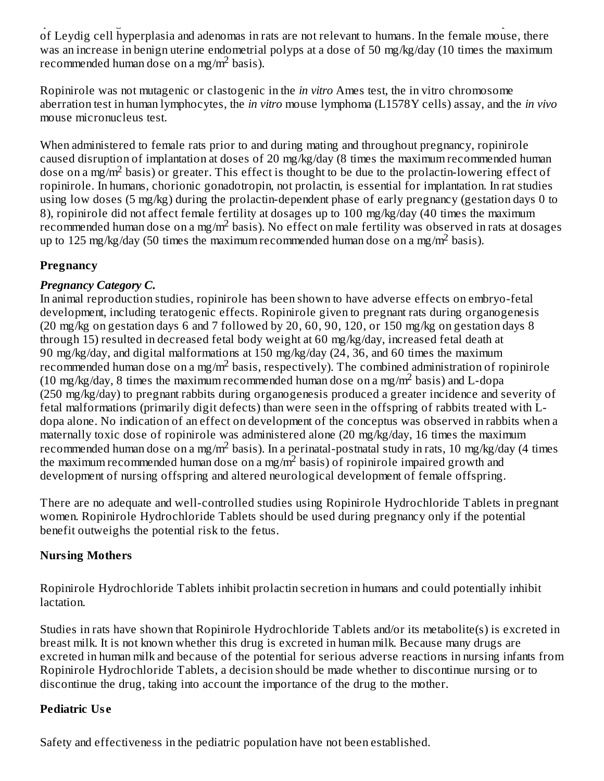$\mathbf{q}$  , the endocrine mechanisms because the endocrine mechanisms believed to be involved in the production of Leydig cell hyperplasia and adenomas in rats are not relevant to humans. In the female mouse, there was an increase in benign uterine endometrial polyps at a dose of 50 mg/kg/day (10 times the maximum recommended human dose on a mg/m<sup>2</sup> basis).

Ropinirole was not mutagenic or clastogenic in the *in vitro* Ames test, the in vitro chromosome aberration test in human lymphocytes, the *in vitro* mouse lymphoma (L1578Y cells) assay, and the *in vivo* mouse micronucleus test.

When administered to female rats prior to and during mating and throughout pregnancy, ropinirole caused disruption of implantation at doses of 20 mg/kg/day (8 times the maximum recommended human dose on a mg/m<sup>2</sup> basis) or greater. This effect is thought to be due to the prolactin-lowering effect of ropinirole. In humans, chorionic gonadotropin, not prolactin, is essential for implantation. In rat studies using low doses (5 mg/kg) during the prolactin-dependent phase of early pregnancy (gestation days 0 to 8), ropinirole did not affect female fertility at dosages up to 100 mg/kg/day (40 times the maximum recommended human dose on a mg/m<sup>2</sup> basis). No effect on male fertility was observed in rats at dosages up to 125 mg/kg/day (50 times the maximum recommended human dose on a mg/m<sup>2</sup> basis).

# **Pregnancy**

# *Pregnancy Category C.*

In animal reproduction studies, ropinirole has been shown to have adverse effects on embryo-fetal development, including teratogenic effects. Ropinirole given to pregnant rats during organogenesis (20 mg/kg on gestation days 6 and 7 followed by 20, 60, 90, 120, or 150 mg/kg on gestation days 8 through 15) resulted in decreased fetal body weight at 60 mg/kg/day, increased fetal death at 90 mg/kg/day, and digital malformations at 150 mg/kg/day (24, 36, and 60 times the maximum recommended human dose on a mg/m<sup>2</sup> basis, respectively). The combined administration of ropinirole (10 mg/kg/day, 8 times the maximum recommended human dose on a mg/m<sup>2</sup> basis) and L-dopa (250 mg/kg/day) to pregnant rabbits during organogenesis produced a greater incidence and severity of fetal malformations (primarily digit defects) than were seen in the offspring of rabbits treated with Ldopa alone. No indication of an effect on development of the conceptus was observed in rabbits when a maternally toxic dose of ropinirole was administered alone (20 mg/kg/day, 16 times the maximum recommended human dose on a mg/m<sup>2</sup> basis). In a perinatal-postnatal study in rats, 10 mg/kg/day (4 times the maximum recommended human dose on a mg/m<sup>2</sup> basis) of ropinirole impaired growth and development of nursing offspring and altered neurological development of female offspring.

There are no adequate and well-controlled studies using Ropinirole Hydrochloride Tablets in pregnant women. Ropinirole Hydrochloride Tablets should be used during pregnancy only if the potential benefit outweighs the potential risk to the fetus.

# **Nursing Mothers**

Ropinirole Hydrochloride Tablets inhibit prolactin secretion in humans and could potentially inhibit lactation.

Studies in rats have shown that Ropinirole Hydrochloride Tablets and/or its metabolite(s) is excreted in breast milk. It is not known whether this drug is excreted in human milk. Because many drugs are excreted in human milk and because of the potential for serious adverse reactions in nursing infants from Ropinirole Hydrochloride Tablets, a decision should be made whether to discontinue nursing or to discontinue the drug, taking into account the importance of the drug to the mother.

# **Pediatric Us e**

Safety and effectiveness in the pediatric population have not been established.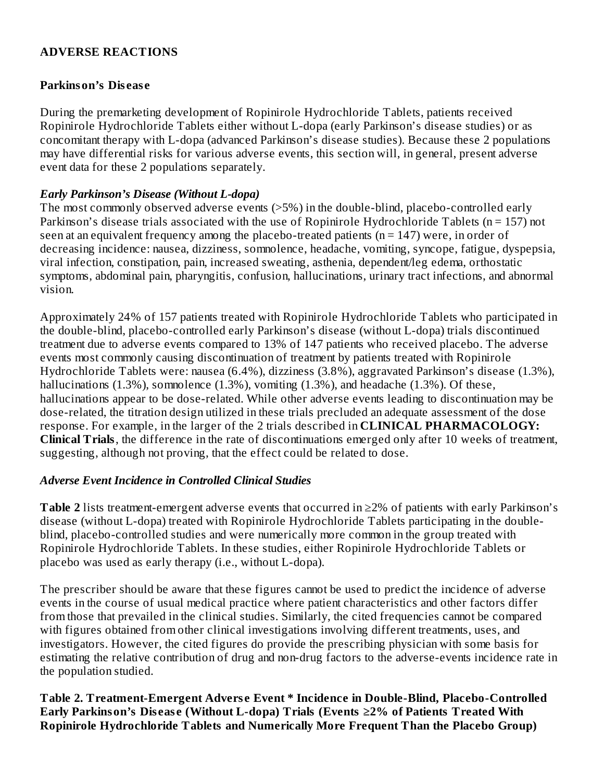### **ADVERSE REACTIONS**

#### **Parkinson's Dis eas e**

During the premarketing development of Ropinirole Hydrochloride Tablets, patients received Ropinirole Hydrochloride Tablets either without L-dopa (early Parkinson's disease studies) or as concomitant therapy with L-dopa (advanced Parkinson's disease studies). Because these 2 populations may have differential risks for various adverse events, this section will, in general, present adverse event data for these 2 populations separately.

#### *Early Parkinson's Disease (Without L-dopa)*

The most commonly observed adverse events (>5%) in the double-blind, placebo-controlled early Parkinson's disease trials associated with the use of Ropinirole Hydrochloride Tablets (n = 157) not seen at an equivalent frequency among the placebo-treated patients ( $n = 147$ ) were, in order of decreasing incidence: nausea, dizziness, somnolence, headache, vomiting, syncope, fatigue, dyspepsia, viral infection, constipation, pain, increased sweating, asthenia, dependent/leg edema, orthostatic symptoms, abdominal pain, pharyngitis, confusion, hallucinations, urinary tract infections, and abnormal vision.

Approximately 24% of 157 patients treated with Ropinirole Hydrochloride Tablets who participated in the double-blind, placebo-controlled early Parkinson's disease (without L-dopa) trials discontinued treatment due to adverse events compared to 13% of 147 patients who received placebo. The adverse events most commonly causing discontinuation of treatment by patients treated with Ropinirole Hydrochloride Tablets were: nausea (6.4%), dizziness (3.8%), aggravated Parkinson's disease (1.3%), hallucinations (1.3%), somnolence (1.3%), vomiting (1.3%), and headache (1.3%). Of these, hallucinations appear to be dose-related. While other adverse events leading to discontinuation may be dose-related, the titration design utilized in these trials precluded an adequate assessment of the dose response. For example, in the larger of the 2 trials described in **CLINICAL PHARMACOLOGY: Clinical Trials**, the difference in the rate of discontinuations emerged only after 10 weeks of treatment, suggesting, although not proving, that the effect could be related to dose.

#### *Adverse Event Incidence in Controlled Clinical Studies*

**Table 2** lists treatment-emergent adverse events that occurred in ≥2% of patients with early Parkinson's disease (without L-dopa) treated with Ropinirole Hydrochloride Tablets participating in the doubleblind, placebo-controlled studies and were numerically more common in the group treated with Ropinirole Hydrochloride Tablets. In these studies, either Ropinirole Hydrochloride Tablets or placebo was used as early therapy (i.e., without L-dopa).

The prescriber should be aware that these figures cannot be used to predict the incidence of adverse events in the course of usual medical practice where patient characteristics and other factors differ from those that prevailed in the clinical studies. Similarly, the cited frequencies cannot be compared with figures obtained from other clinical investigations involving different treatments, uses, and investigators. However, the cited figures do provide the prescribing physician with some basis for estimating the relative contribution of drug and non-drug factors to the adverse-events incidence rate in the population studied.

### **Table 2. Treatment-Emergent Advers e Event \* Incidence in Double-Blind, Placebo-Controlled Early Parkinson's Dis eas e (Without L-dopa) Trials (Events ≥2% of Patients Treated With Ropinirole Hydrochloride Tablets and Numerically More Frequent Than the Placebo Group)**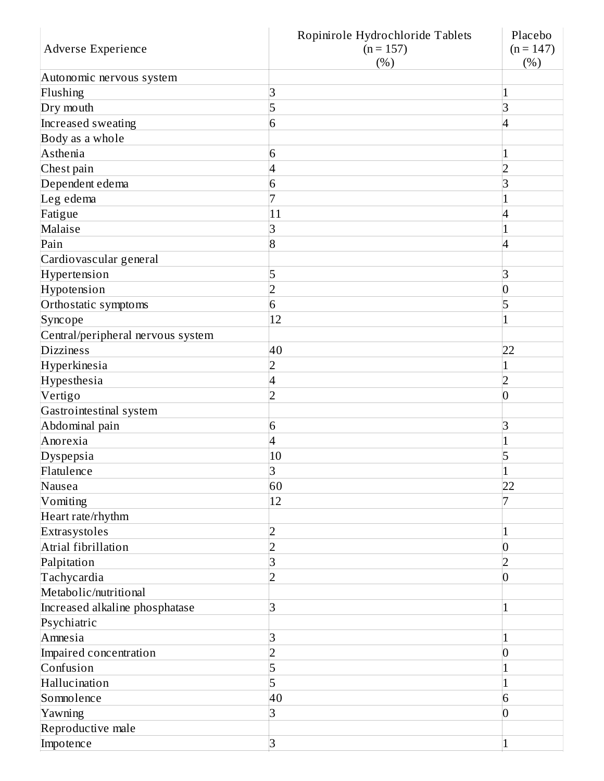|                                   | Ropinirole Hydrochloride Tablets | Placebo         |
|-----------------------------------|----------------------------------|-----------------|
| Adverse Experience                | $(n = 157)$                      | $(n = 147)$     |
|                                   | (%)                              | (%)             |
| Autonomic nervous system          |                                  |                 |
| Flushing                          | 3                                | 1               |
| Dry mouth                         | 5                                | 3               |
| Increased sweating                | 6                                | $\overline{4}$  |
| Body as a whole                   |                                  |                 |
| Asthenia                          | 6                                | 1               |
| Chest pain                        | 4                                | 2               |
| Dependent edema                   | 6                                | 3               |
| Leg edema                         |                                  |                 |
| Fatigue                           | 11                               | 4               |
| Malaise                           | 3                                |                 |
| Pain                              | 8                                | $\overline{4}$  |
| Cardiovascular general            |                                  |                 |
| Hypertension                      | 5                                | 3               |
| Hypotension                       | $\overline{2}$                   | $\overline{0}$  |
| Orthostatic symptoms              | 6                                | 5               |
| Syncope                           | 12                               |                 |
| Central/peripheral nervous system |                                  |                 |
| <b>Dizziness</b>                  | 40                               | 22              |
| Hyperkinesia                      | 2                                |                 |
| Hypesthesia                       | 4                                | $\overline{2}$  |
| Vertigo                           | $\overline{2}$                   | $\overline{0}$  |
| Gastrointestinal system           |                                  |                 |
| Abdominal pain                    | 6                                | 3               |
| Anorexia                          | 4                                | 1               |
| Dyspepsia                         | 10                               | 5               |
| Flatulence                        | 3                                | $\mathbf{1}$    |
| Nausea                            | 60                               | 22              |
| Vomiting                          | 12                               | 7               |
| Heart rate/rhythm                 |                                  |                 |
| Extrasystoles                     | 2                                |                 |
| Atrial fibrillation               | $\overline{2}$                   | $\vert 0 \vert$ |
| Palpitation                       | 3                                | $\overline{2}$  |
| Tachycardia                       | $\overline{2}$                   | $\vert 0 \vert$ |
| Metabolic/nutritional             |                                  |                 |
| Increased alkaline phosphatase    | 3                                | $\mathbf{1}$    |
| Psychiatric                       |                                  |                 |
| Amnesia                           | 3                                |                 |
| Impaired concentration            | $\overline{2}$                   | $\overline{0}$  |
| Confusion                         | 5                                |                 |
| Hallucination                     | 5                                | 1               |
| Somnolence                        | 40                               | 6               |
| Yawning                           | 3                                | $\vert 0 \vert$ |
| Reproductive male                 |                                  |                 |
| Impotence                         | $\overline{3}$                   | $\mathbf{1}$    |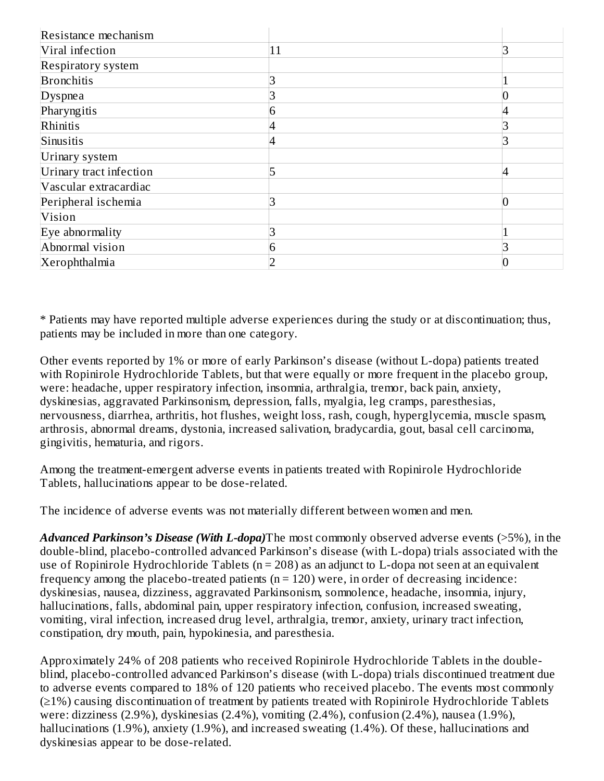| Resistance mechanism    |    |                |
|-------------------------|----|----------------|
| Viral infection         | 11 |                |
| Respiratory system      |    |                |
| <b>Bronchitis</b>       |    |                |
| Dyspnea                 |    | 0              |
| Pharyngitis             | n  | 4              |
| Rhinitis                |    | З              |
| Sinusitis               |    | Р              |
| Urinary system          |    |                |
| Urinary tract infection |    | $\overline{4}$ |
| Vascular extracardiac   |    |                |
| Peripheral ischemia     |    | 0              |
| Vision                  |    |                |
| Eye abnormality         |    |                |
| Abnormal vision         | 6  |                |
| Xerophthalmia           |    |                |

\* Patients may have reported multiple adverse experiences during the study or at discontinuation; thus, patients may be included in more than one category.

Other events reported by 1% or more of early Parkinson's disease (without L-dopa) patients treated with Ropinirole Hydrochloride Tablets, but that were equally or more frequent in the placebo group, were: headache, upper respiratory infection, insomnia, arthralgia, tremor, back pain, anxiety, dyskinesias, aggravated Parkinsonism, depression, falls, myalgia, leg cramps, paresthesias, nervousness, diarrhea, arthritis, hot flushes, weight loss, rash, cough, hyperglycemia, muscle spasm, arthrosis, abnormal dreams, dystonia, increased salivation, bradycardia, gout, basal cell carcinoma, gingivitis, hematuria, and rigors.

Among the treatment-emergent adverse events in patients treated with Ropinirole Hydrochloride Tablets, hallucinations appear to be dose-related.

The incidence of adverse events was not materially different between women and men.

*Advanced Parkinson's Disease (With L-dopa)*The most commonly observed adverse events (>5%), in the double-blind, placebo-controlled advanced Parkinson's disease (with L-dopa) trials associated with the use of Ropinirole Hydrochloride Tablets (n = 208) as an adjunct to L-dopa not seen at an equivalent frequency among the placebo-treated patients ( $n = 120$ ) were, in order of decreasing incidence: dyskinesias, nausea, dizziness, aggravated Parkinsonism, somnolence, headache, insomnia, injury, hallucinations, falls, abdominal pain, upper respiratory infection, confusion, increased sweating, vomiting, viral infection, increased drug level, arthralgia, tremor, anxiety, urinary tract infection, constipation, dry mouth, pain, hypokinesia, and paresthesia.

Approximately 24% of 208 patients who received Ropinirole Hydrochloride Tablets in the doubleblind, placebo-controlled advanced Parkinson's disease (with L-dopa) trials discontinued treatment due to adverse events compared to 18% of 120 patients who received placebo. The events most commonly (≥1%) causing discontinuation of treatment by patients treated with Ropinirole Hydrochloride Tablets were: dizziness (2.9%), dyskinesias (2.4%), vomiting (2.4%), confusion (2.4%), nausea (1.9%), hallucinations (1.9%), anxiety (1.9%), and increased sweating (1.4%). Of these, hallucinations and dyskinesias appear to be dose-related.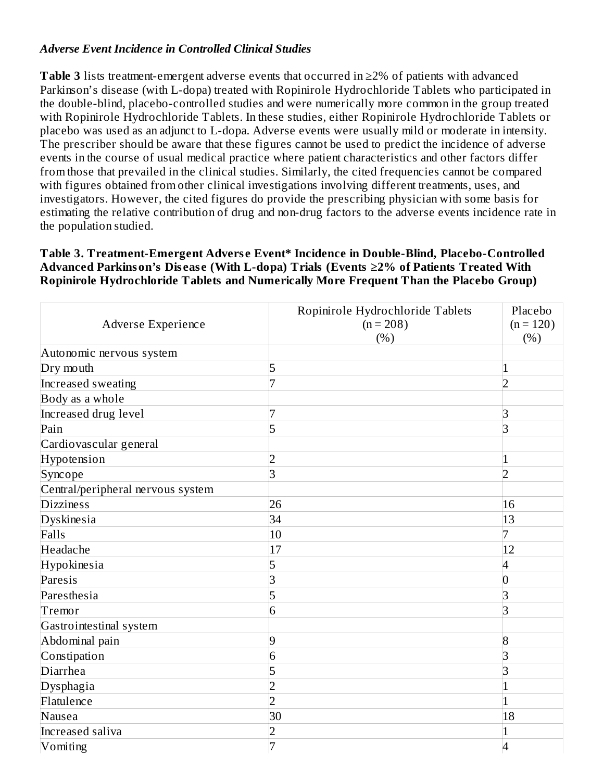### *Adverse Event Incidence in Controlled Clinical Studies*

**Table 3** lists treatment-emergent adverse events that occurred in ≥2% of patients with advanced Parkinson's disease (with L-dopa) treated with Ropinirole Hydrochloride Tablets who participated in the double-blind, placebo-controlled studies and were numerically more common in the group treated with Ropinirole Hydrochloride Tablets. In these studies, either Ropinirole Hydrochloride Tablets or placebo was used as an adjunct to L-dopa. Adverse events were usually mild or moderate in intensity. The prescriber should be aware that these figures cannot be used to predict the incidence of adverse events in the course of usual medical practice where patient characteristics and other factors differ from those that prevailed in the clinical studies. Similarly, the cited frequencies cannot be compared with figures obtained from other clinical investigations involving different treatments, uses, and investigators. However, the cited figures do provide the prescribing physician with some basis for estimating the relative contribution of drug and non-drug factors to the adverse events incidence rate in the population studied.

#### **Table 3. Treatment-Emergent Advers e Event\* Incidence in Double-Blind, Placebo-Controlled Advanced Parkinson's Dis eas e (With L-dopa) Trials (Events ≥2% of Patients Treated With Ropinirole Hydrochloride Tablets and Numerically More Frequent Than the Placebo Group)**

| Adverse Experience                | Ropinirole Hydrochloride Tablets<br>$(n = 208)$<br>(%) | Placebo<br>$(n = 120)$<br>(%) |
|-----------------------------------|--------------------------------------------------------|-------------------------------|
| Autonomic nervous system          |                                                        |                               |
| Dry mouth                         | 5                                                      | 1                             |
| Increased sweating                |                                                        | $\overline{2}$                |
| Body as a whole                   |                                                        |                               |
| Increased drug level              |                                                        | 3                             |
| Pain                              | 5                                                      | 3                             |
| Cardiovascular general            |                                                        |                               |
| Hypotension                       | $\overline{2}$                                         | 1                             |
| Syncope                           | 3                                                      | $\overline{2}$                |
| Central/peripheral nervous system |                                                        |                               |
| <b>Dizziness</b>                  | 26                                                     | 16                            |
| Dyskinesia                        | 34                                                     | 13                            |
| Falls                             | 10                                                     | 7                             |
| Headache                          | 17                                                     | 12                            |
| Hypokinesia                       | 5                                                      | 4                             |
| Paresis                           | 3                                                      | 0                             |
| Paresthesia                       | 5                                                      | 3                             |
| Tremor                            | 6                                                      | 3                             |
| Gastrointestinal system           |                                                        |                               |
| Abdominal pain                    | 9                                                      | $\overline{8}$                |
| Constipation                      | 6                                                      | 3                             |
| Diarrhea                          | 5                                                      | 3                             |
| Dysphagia                         | 2                                                      | 1                             |
| Flatulence                        | $\overline{2}$                                         | 1                             |
| Nausea                            | 30                                                     | 18                            |
| Increased saliva                  | 2                                                      |                               |
| Vomiting                          | 7                                                      | $\vert 4$                     |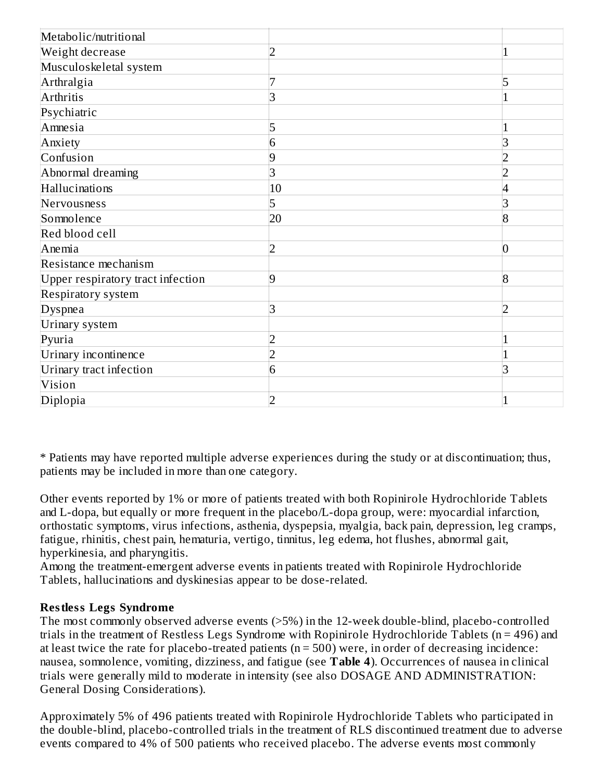| Metabolic/nutritional             |                |                |
|-----------------------------------|----------------|----------------|
| Weight decrease                   | $\overline{2}$ |                |
| Musculoskeletal system            |                |                |
| Arthralgia                        | 7              | 5              |
| Arthritis                         | 3              |                |
| Psychiatric                       |                |                |
| Amnesia                           | 5              | 1              |
| Anxiety                           | 6              | 3              |
| Confusion                         | 9              | 2              |
| Abnormal dreaming                 | 3              | $\overline{2}$ |
| Hallucinations                    | 10             | 4              |
| Nervousness                       | 5              | 3              |
| Somnolence                        | 20             | $\overline{8}$ |
| Red blood cell                    |                |                |
| Anemia                            | $\overline{2}$ | $\overline{0}$ |
| Resistance mechanism              |                |                |
| Upper respiratory tract infection | 9              | $\overline{8}$ |
| Respiratory system                |                |                |
| Dyspnea                           | 3              | $\overline{2}$ |
| Urinary system                    |                |                |
| Pyuria                            | $\overline{2}$ | 1              |
| Urinary incontinence              | $\overline{2}$ | 1              |
| Urinary tract infection           | 6              | 3              |
| Vision                            |                |                |
| Diplopia                          | $\overline{2}$ |                |

\* Patients may have reported multiple adverse experiences during the study or at discontinuation; thus, patients may be included in more than one category.

Other events reported by 1% or more of patients treated with both Ropinirole Hydrochloride Tablets and L-dopa, but equally or more frequent in the placebo/L-dopa group, were: myocardial infarction, orthostatic symptoms, virus infections, asthenia, dyspepsia, myalgia, back pain, depression, leg cramps, fatigue, rhinitis, chest pain, hematuria, vertigo, tinnitus, leg edema, hot flushes, abnormal gait, hyperkinesia, and pharyngitis.

Among the treatment-emergent adverse events in patients treated with Ropinirole Hydrochloride Tablets, hallucinations and dyskinesias appear to be dose-related.

### **Restless Legs Syndrome**

The most commonly observed adverse events (>5%) in the 12-week double-blind, placebo-controlled trials in the treatment of Restless Legs Syndrome with Ropinirole Hydrochloride Tablets (n = 496) and at least twice the rate for placebo-treated patients ( $n = 500$ ) were, in order of decreasing incidence: nausea, somnolence, vomiting, dizziness, and fatigue (see **Table 4**). Occurrences of nausea in clinical trials were generally mild to moderate in intensity (see also DOSAGE AND ADMINISTRATION: General Dosing Considerations).

Approximately 5% of 496 patients treated with Ropinirole Hydrochloride Tablets who participated in the double-blind, placebo-controlled trials in the treatment of RLS discontinued treatment due to adverse events compared to 4% of 500 patients who received placebo. The adverse events most commonly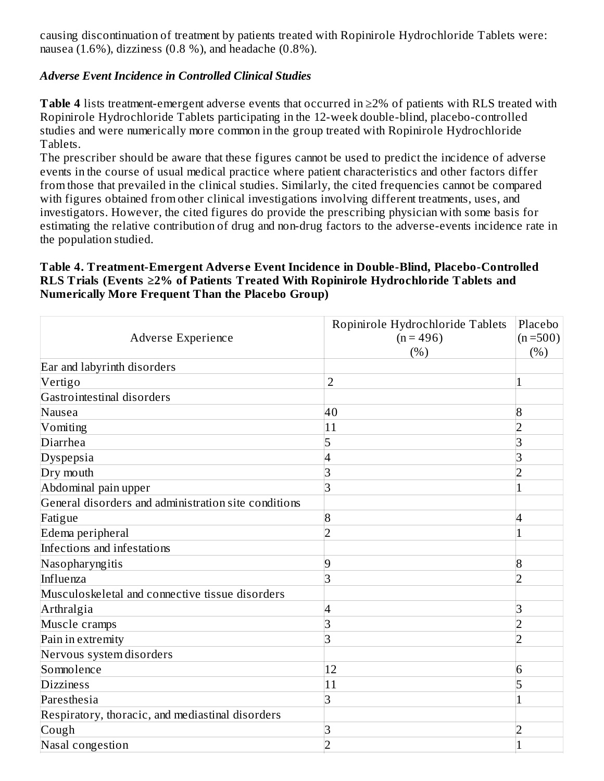causing discontinuation of treatment by patients treated with Ropinirole Hydrochloride Tablets were: nausea (1.6%), dizziness (0.8 %), and headache (0.8%).

### *Adverse Event Incidence in Controlled Clinical Studies*

**Table 4** lists treatment-emergent adverse events that occurred in ≥2% of patients with RLS treated with Ropinirole Hydrochloride Tablets participating in the 12-week double-blind, placebo-controlled studies and were numerically more common in the group treated with Ropinirole Hydrochloride Tablets.

The prescriber should be aware that these figures cannot be used to predict the incidence of adverse events in the course of usual medical practice where patient characteristics and other factors differ from those that prevailed in the clinical studies. Similarly, the cited frequencies cannot be compared with figures obtained from other clinical investigations involving different treatments, uses, and investigators. However, the cited figures do provide the prescribing physician with some basis for estimating the relative contribution of drug and non-drug factors to the adverse-events incidence rate in the population studied.

### **Table 4. Treatment-Emergent Advers e Event Incidence in Double-Blind, Placebo-Controlled RLS Trials (Events ≥2% of Patients Treated With Ropinirole Hydrochloride Tablets and Numerically More Frequent Than the Placebo Group)**

| Adverse Experience                                   | Ropinirole Hydrochloride Tablets<br>$(n = 496)$<br>(%) | Placebo<br>$(n=500)$<br>(%) |
|------------------------------------------------------|--------------------------------------------------------|-----------------------------|
| Ear and labyrinth disorders                          |                                                        |                             |
| Vertigo                                              | $\overline{2}$                                         | $\mathbf{1}$                |
| Gastrointestinal disorders                           |                                                        |                             |
| Nausea                                               | 40                                                     | 8                           |
| Vomiting                                             | 11                                                     | $\overline{2}$              |
| Diarrhea                                             | 5                                                      | 3                           |
| Dyspepsia                                            | 4                                                      | 3                           |
| Dry mouth                                            | 3                                                      | $\overline{2}$              |
| Abdominal pain upper                                 | 3                                                      | $\mathbf{1}$                |
| General disorders and administration site conditions |                                                        |                             |
| Fatigue                                              | $\overline{8}$                                         | $\overline{4}$              |
| Edema peripheral                                     | $\overline{2}$                                         | $\mathbf{1}$                |
| Infections and infestations                          |                                                        |                             |
| Nasopharyngitis                                      | 9                                                      | 8                           |
| Influenza                                            | 3                                                      | $\overline{2}$              |
| Musculoskeletal and connective tissue disorders      |                                                        |                             |
| Arthralgia                                           | 4                                                      | 3                           |
| Muscle cramps                                        | 3                                                      | $\overline{2}$              |
| Pain in extremity                                    | 3                                                      | $\overline{2}$              |
| Nervous system disorders                             |                                                        |                             |
| Somnolence                                           | 12                                                     | 6                           |
| <b>Dizziness</b>                                     | 11                                                     | 5                           |
| Paresthesia                                          | 3                                                      | $\mathbf{1}$                |
| Respiratory, thoracic, and mediastinal disorders     |                                                        |                             |
| Cough                                                | 3                                                      | $\overline{2}$              |
| Nasal congestion                                     | $\overline{2}$                                         | $\overline{1}$              |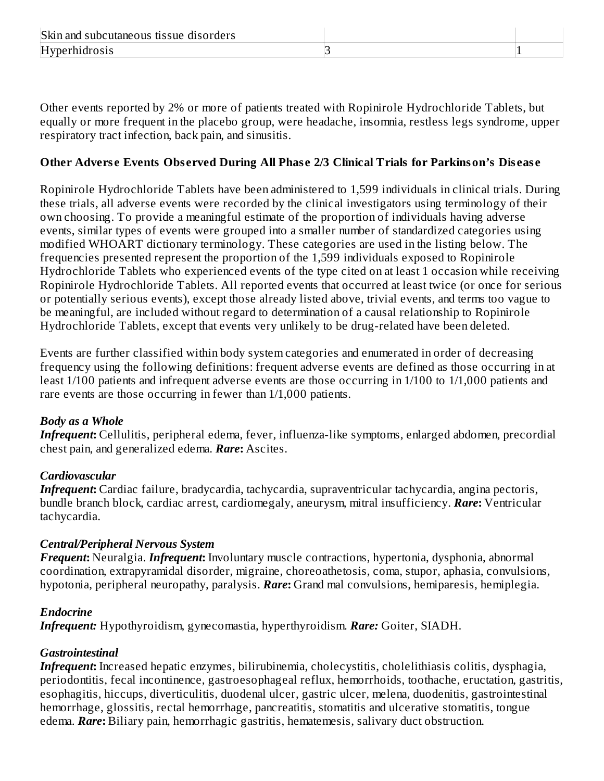Other events reported by 2% or more of patients treated with Ropinirole Hydrochloride Tablets, but equally or more frequent in the placebo group, were headache, insomnia, restless legs syndrome, upper respiratory tract infection, back pain, and sinusitis.

### **Other Advers e Events Obs erved During All Phas e 2/3 Clinical Trials for Parkinson's Dis eas e**

Ropinirole Hydrochloride Tablets have been administered to 1,599 individuals in clinical trials. During these trials, all adverse events were recorded by the clinical investigators using terminology of their own choosing. To provide a meaningful estimate of the proportion of individuals having adverse events, similar types of events were grouped into a smaller number of standardized categories using modified WHOART dictionary terminology. These categories are used in the listing below. The frequencies presented represent the proportion of the 1,599 individuals exposed to Ropinirole Hydrochloride Tablets who experienced events of the type cited on at least 1 occasion while receiving Ropinirole Hydrochloride Tablets. All reported events that occurred at least twice (or once for serious or potentially serious events), except those already listed above, trivial events, and terms too vague to be meaningful, are included without regard to determination of a causal relationship to Ropinirole Hydrochloride Tablets, except that events very unlikely to be drug-related have been deleted.

Events are further classified within body system categories and enumerated in order of decreasing frequency using the following definitions: frequent adverse events are defined as those occurring in at least 1/100 patients and infrequent adverse events are those occurring in 1/100 to 1/1,000 patients and rare events are those occurring in fewer than 1/1,000 patients.

#### *Body as a Whole*

*Infrequent***:** Cellulitis, peripheral edema, fever, influenza-like symptoms, enlarged abdomen, precordial chest pain, and generalized edema. *Rare***:** Ascites.

#### *Cardiovascular*

*Infrequent***:** Cardiac failure, bradycardia, tachycardia, supraventricular tachycardia, angina pectoris, bundle branch block, cardiac arrest, cardiomegaly, aneurysm, mitral insufficiency. *Rare***:** Ventricular tachycardia.

#### *Central/Peripheral Nervous System*

*Frequent***:** Neuralgia. *Infrequent***:** Involuntary muscle contractions, hypertonia, dysphonia, abnormal coordination, extrapyramidal disorder, migraine, choreoathetosis, coma, stupor, aphasia, convulsions, hypotonia, peripheral neuropathy, paralysis. *Rare***:** Grand mal convulsions, hemiparesis, hemiplegia.

#### *Endocrine*

*Infrequent:* Hypothyroidism, gynecomastia, hyperthyroidism. *Rare:* Goiter, SIADH.

### *Gastrointestinal*

*Infrequent***:** Increased hepatic enzymes, bilirubinemia, cholecystitis, cholelithiasis colitis, dysphagia, periodontitis, fecal incontinence, gastroesophageal reflux, hemorrhoids, toothache, eructation, gastritis, esophagitis, hiccups, diverticulitis, duodenal ulcer, gastric ulcer, melena, duodenitis, gastrointestinal hemorrhage, glossitis, rectal hemorrhage, pancreatitis, stomatitis and ulcerative stomatitis, tongue edema. *Rare***:** Biliary pain, hemorrhagic gastritis, hematemesis, salivary duct obstruction.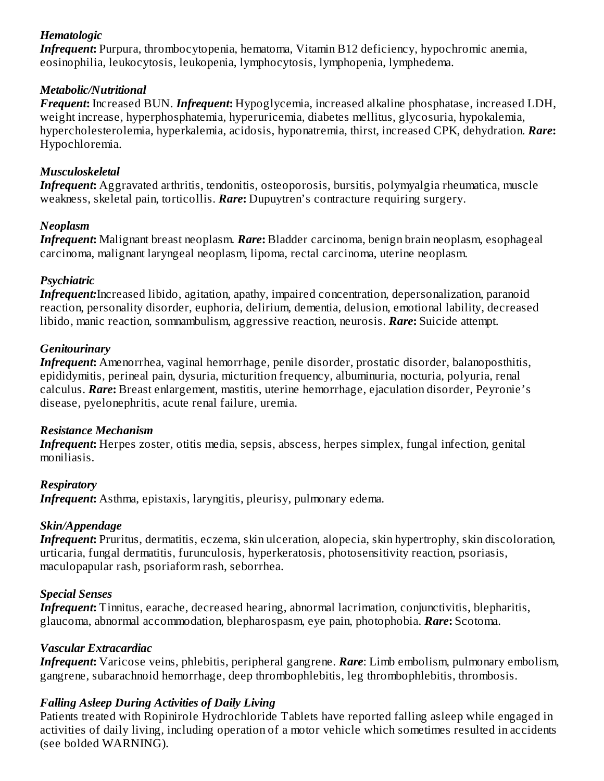# *Hematologic*

*Infrequent***:** Purpura, thrombocytopenia, hematoma, Vitamin B12 deficiency, hypochromic anemia, eosinophilia, leukocytosis, leukopenia, lymphocytosis, lymphopenia, lymphedema.

### *Metabolic/Nutritional*

*Frequent***:** Increased BUN. *Infrequent***:** Hypoglycemia, increased alkaline phosphatase, increased LDH, weight increase, hyperphosphatemia, hyperuricemia, diabetes mellitus, glycosuria, hypokalemia, hypercholesterolemia, hyperkalemia, acidosis, hyponatremia, thirst, increased CPK, dehydration. *Rare***:** Hypochloremia.

# *Musculoskeletal*

*Infrequent***:** Aggravated arthritis, tendonitis, osteoporosis, bursitis, polymyalgia rheumatica, muscle weakness, skeletal pain, torticollis. *Rare***:** Dupuytren's contracture requiring surgery.

### *Neoplasm*

*Infrequent***:** Malignant breast neoplasm. *Rare***:** Bladder carcinoma, benign brain neoplasm, esophageal carcinoma, malignant laryngeal neoplasm, lipoma, rectal carcinoma, uterine neoplasm.

# *Psychiatric*

*Infrequent:*Increased libido, agitation, apathy, impaired concentration, depersonalization, paranoid reaction, personality disorder, euphoria, delirium, dementia, delusion, emotional lability, decreased libido, manic reaction, somnambulism, aggressive reaction, neurosis. *Rare***:** Suicide attempt.

# *Genitourinary*

*Infrequent***:** Amenorrhea, vaginal hemorrhage, penile disorder, prostatic disorder, balanoposthitis, epididymitis, perineal pain, dysuria, micturition frequency, albuminuria, nocturia, polyuria, renal calculus. *Rare***:** Breast enlargement, mastitis, uterine hemorrhage, ejaculation disorder, Peyronie's disease, pyelonephritis, acute renal failure, uremia.

### *Resistance Mechanism*

*Infrequent***:** Herpes zoster, otitis media, sepsis, abscess, herpes simplex, fungal infection, genital moniliasis.

# *Respiratory*

*Infrequent***:** Asthma, epistaxis, laryngitis, pleurisy, pulmonary edema.

# *Skin/Appendage*

*Infrequent***:** Pruritus, dermatitis, eczema, skin ulceration, alopecia, skin hypertrophy, skin discoloration, urticaria, fungal dermatitis, furunculosis, hyperkeratosis, photosensitivity reaction, psoriasis, maculopapular rash, psoriaform rash, seborrhea.

# *Special Senses*

*Infrequent***:** Tinnitus, earache, decreased hearing, abnormal lacrimation, conjunctivitis, blepharitis, glaucoma, abnormal accommodation, blepharospasm, eye pain, photophobia. *Rare***:** Scotoma.

# *Vascular Extracardiac*

*Infrequent***:** Varicose veins, phlebitis, peripheral gangrene. *Rare*: Limb embolism, pulmonary embolism, gangrene, subarachnoid hemorrhage, deep thrombophlebitis, leg thrombophlebitis, thrombosis.

# *Falling Asleep During Activities of Daily Living*

Patients treated with Ropinirole Hydrochloride Tablets have reported falling asleep while engaged in activities of daily living, including operation of a motor vehicle which sometimes resulted in accidents (see bolded WARNING).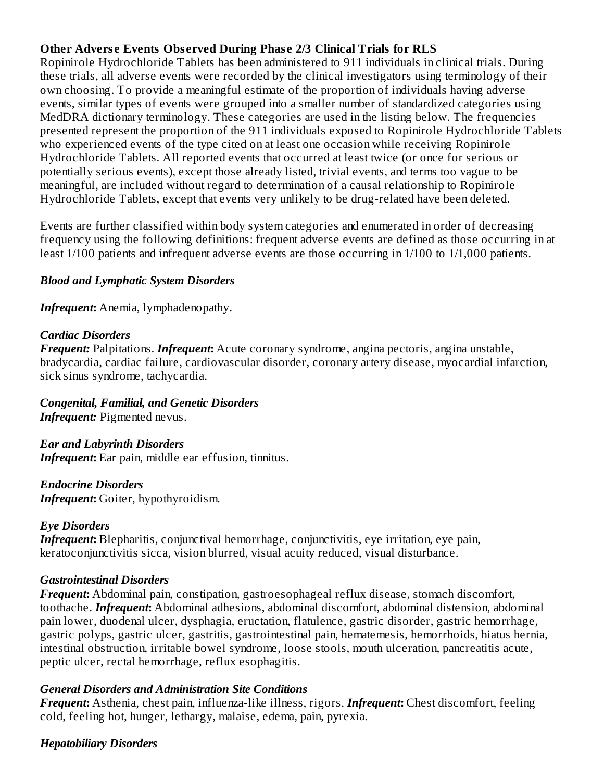### **Other Advers e Events Obs erved During Phas e 2/3 Clinical Trials for RLS**

Ropinirole Hydrochloride Tablets has been administered to 911 individuals in clinical trials. During these trials, all adverse events were recorded by the clinical investigators using terminology of their own choosing. To provide a meaningful estimate of the proportion of individuals having adverse events, similar types of events were grouped into a smaller number of standardized categories using MedDRA dictionary terminology. These categories are used in the listing below. The frequencies presented represent the proportion of the 911 individuals exposed to Ropinirole Hydrochloride Tablets who experienced events of the type cited on at least one occasion while receiving Ropinirole Hydrochloride Tablets. All reported events that occurred at least twice (or once for serious or potentially serious events), except those already listed, trivial events, and terms too vague to be meaningful, are included without regard to determination of a causal relationship to Ropinirole Hydrochloride Tablets, except that events very unlikely to be drug-related have been deleted.

Events are further classified within body system categories and enumerated in order of decreasing frequency using the following definitions: frequent adverse events are defined as those occurring in at least 1/100 patients and infrequent adverse events are those occurring in 1/100 to 1/1,000 patients.

#### *Blood and Lymphatic System Disorders*

*Infrequent***:** Anemia, lymphadenopathy.

### *Cardiac Disorders*

*Frequent:* Palpitations. *Infrequent***:** Acute coronary syndrome, angina pectoris, angina unstable, bradycardia, cardiac failure, cardiovascular disorder, coronary artery disease, myocardial infarction, sick sinus syndrome, tachycardia.

### *Congenital, Familial, and Genetic Disorders*

*Infrequent:* Pigmented nevus.

### *Ear and Labyrinth Disorders*

*Infrequent***:** Ear pain, middle ear effusion, tinnitus.

#### *Endocrine Disorders*

*Infrequent***:** Goiter, hypothyroidism.

#### *Eye Disorders*

*Infrequent*: Blepharitis, conjunctival hemorrhage, conjunctivitis, eye irritation, eye pain, keratoconjunctivitis sicca, vision blurred, visual acuity reduced, visual disturbance.

#### *Gastrointestinal Disorders*

*Frequent***:** Abdominal pain, constipation, gastroesophageal reflux disease, stomach discomfort, toothache. *Infrequent***:** Abdominal adhesions, abdominal discomfort, abdominal distension, abdominal pain lower, duodenal ulcer, dysphagia, eructation, flatulence, gastric disorder, gastric hemorrhage, gastric polyps, gastric ulcer, gastritis, gastrointestinal pain, hematemesis, hemorrhoids, hiatus hernia, intestinal obstruction, irritable bowel syndrome, loose stools, mouth ulceration, pancreatitis acute, peptic ulcer, rectal hemorrhage, reflux esophagitis.

### *General Disorders and Administration Site Conditions*

*Frequent***:** Asthenia, chest pain, influenza-like illness, rigors. *Infrequent***:** Chest discomfort, feeling cold, feeling hot, hunger, lethargy, malaise, edema, pain, pyrexia.

#### *Hepatobiliary Disorders*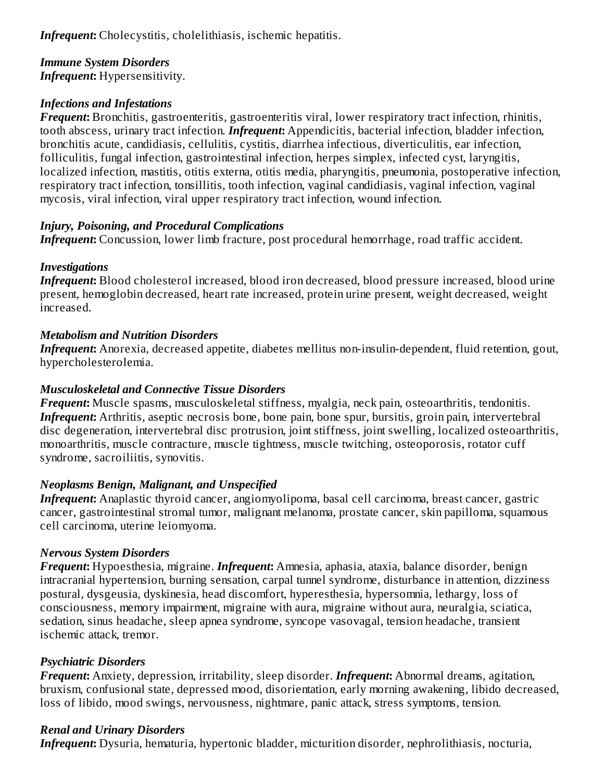*Infrequent:* Cholecystitis, cholelithiasis, ischemic hepatitis.

#### *Immune System Disorders Infrequent***:** Hypersensitivity.

# *Infections and Infestations*

*Frequent***:** Bronchitis, gastroenteritis, gastroenteritis viral, lower respiratory tract infection, rhinitis, tooth abscess, urinary tract infection. *Infrequent***:** Appendicitis, bacterial infection, bladder infection, bronchitis acute, candidiasis, cellulitis, cystitis, diarrhea infectious, diverticulitis, ear infection, folliculitis, fungal infection, gastrointestinal infection, herpes simplex, infected cyst, laryngitis, localized infection, mastitis, otitis externa, otitis media, pharyngitis, pneumonia, postoperative infection, respiratory tract infection, tonsillitis, tooth infection, vaginal candidiasis, vaginal infection, vaginal mycosis, viral infection, viral upper respiratory tract infection, wound infection.

# *Injury, Poisoning, and Procedural Complications*

*Infrequent:* Concussion, lower limb fracture, post procedural hemorrhage, road traffic accident.

# *Investigations*

*Infrequent***:** Blood cholesterol increased, blood iron decreased, blood pressure increased, blood urine present, hemoglobin decreased, heart rate increased, protein urine present, weight decreased, weight increased.

# *Metabolism and Nutrition Disorders*

*Infrequent*: Anorexia, decreased appetite, diabetes mellitus non-insulin-dependent, fluid retention, gout, hypercholesterolemia.

# *Musculoskeletal and Connective Tissue Disorders*

*Frequent***:** Muscle spasms, musculoskeletal stiffness, myalgia, neck pain, osteoarthritis, tendonitis. *Infrequent*: Arthritis, aseptic necrosis bone, bone pain, bone spur, bursitis, groin pain, intervertebral disc degeneration, intervertebral disc protrusion, joint stiffness, joint swelling, localized osteoarthritis, monoarthritis, muscle contracture, muscle tightness, muscle twitching, osteoporosis, rotator cuff syndrome, sacroiliitis, synovitis.

# *Neoplasms Benign, Malignant, and Unspecified*

*Infrequent***:** Anaplastic thyroid cancer, angiomyolipoma, basal cell carcinoma, breast cancer, gastric cancer, gastrointestinal stromal tumor, malignant melanoma, prostate cancer, skin papilloma, squamous cell carcinoma, uterine leiomyoma.

# *Nervous System Disorders*

*Frequent***:** Hypoesthesia, migraine. *Infrequent***:** Amnesia, aphasia, ataxia, balance disorder, benign intracranial hypertension, burning sensation, carpal tunnel syndrome, disturbance in attention, dizziness postural, dysgeusia, dyskinesia, head discomfort, hyperesthesia, hypersomnia, lethargy, loss of consciousness, memory impairment, migraine with aura, migraine without aura, neuralgia, sciatica, sedation, sinus headache, sleep apnea syndrome, syncope vasovagal, tension headache, transient ischemic attack, tremor.

# *Psychiatric Disorders*

*Frequent***:** Anxiety, depression, irritability, sleep disorder. *Infrequent***:** Abnormal dreams, agitation, bruxism, confusional state, depressed mood, disorientation, early morning awakening, libido decreased, loss of libido, mood swings, nervousness, nightmare, panic attack, stress symptoms, tension.

# *Renal and Urinary Disorders*

*Infrequent***:** Dysuria, hematuria, hypertonic bladder, micturition disorder, nephrolithiasis, nocturia,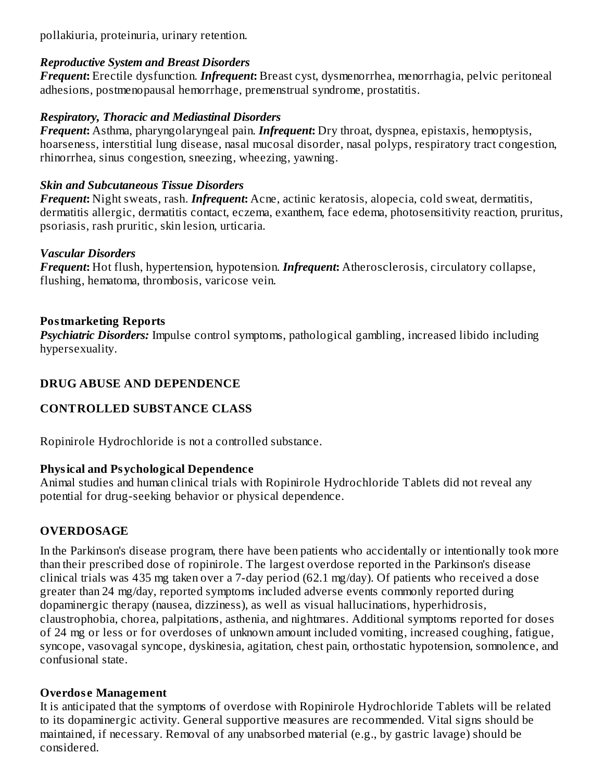pollakiuria, proteinuria, urinary retention.

### *Reproductive System and Breast Disorders*

*Frequent***:** Erectile dysfunction. *Infrequent***:** Breast cyst, dysmenorrhea, menorrhagia, pelvic peritoneal adhesions, postmenopausal hemorrhage, premenstrual syndrome, prostatitis.

### *Respiratory, Thoracic and Mediastinal Disorders*

*Frequent***:** Asthma, pharyngolaryngeal pain. *Infrequent***:** Dry throat, dyspnea, epistaxis, hemoptysis, hoarseness, interstitial lung disease, nasal mucosal disorder, nasal polyps, respiratory tract congestion, rhinorrhea, sinus congestion, sneezing, wheezing, yawning.

### *Skin and Subcutaneous Tissue Disorders*

*Frequent***:** Night sweats, rash. *Infrequent***:** Acne, actinic keratosis, alopecia, cold sweat, dermatitis, dermatitis allergic, dermatitis contact, eczema, exanthem, face edema, photosensitivity reaction, pruritus, psoriasis, rash pruritic, skin lesion, urticaria.

#### *Vascular Disorders*

*Frequent***:** Hot flush, hypertension, hypotension. *Infrequent***:** Atherosclerosis, circulatory collapse, flushing, hematoma, thrombosis, varicose vein.

### **Postmarketing Reports**

*Psychiatric Disorders:* Impulse control symptoms, pathological gambling, increased libido including hypersexuality.

### **DRUG ABUSE AND DEPENDENCE**

### **CONTROLLED SUBSTANCE CLASS**

Ropinirole Hydrochloride is not a controlled substance.

### **Physical and Psychological Dependence**

Animal studies and human clinical trials with Ropinirole Hydrochloride Tablets did not reveal any potential for drug-seeking behavior or physical dependence.

### **OVERDOSAGE**

In the Parkinson's disease program, there have been patients who accidentally or intentionally took more than their prescribed dose of ropinirole. The largest overdose reported in the Parkinson's disease clinical trials was 435 mg taken over a 7-day period (62.1 mg/day). Of patients who received a dose greater than 24 mg/day, reported symptoms included adverse events commonly reported during dopaminergic therapy (nausea, dizziness), as well as visual hallucinations, hyperhidrosis, claustrophobia, chorea, palpitations, asthenia, and nightmares. Additional symptoms reported for doses of 24 mg or less or for overdoses of unknown amount included vomiting, increased coughing, fatigue, syncope, vasovagal syncope, dyskinesia, agitation, chest pain, orthostatic hypotension, somnolence, and confusional state.

#### **Overdos e Management**

It is anticipated that the symptoms of overdose with Ropinirole Hydrochloride Tablets will be related to its dopaminergic activity. General supportive measures are recommended. Vital signs should be maintained, if necessary. Removal of any unabsorbed material (e.g., by gastric lavage) should be considered.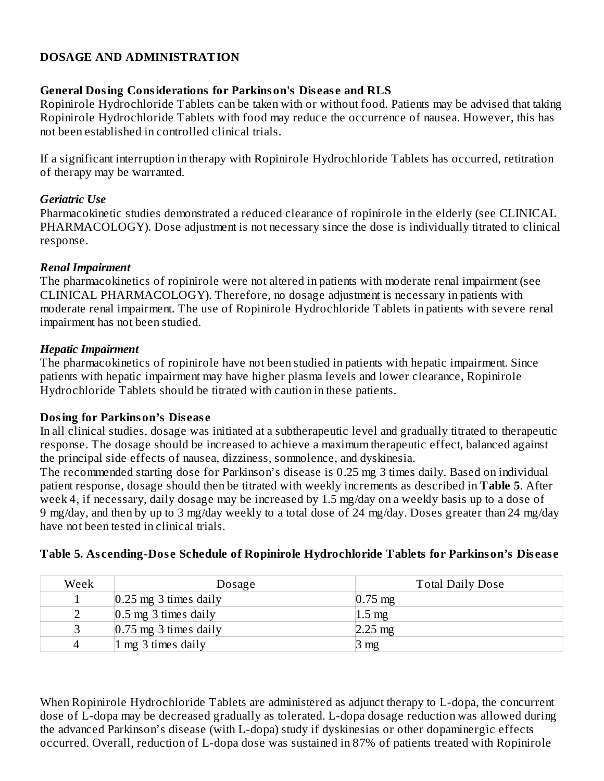# **DOSAGE AND ADMINISTRATION**

#### **General Dosing Considerations for Parkinson's Dis eas e and RLS**

Ropinirole Hydrochloride Tablets can be taken with or without food. Patients may be advised that taking Ropinirole Hydrochloride Tablets with food may reduce the occurrence of nausea. However, this has not been established in controlled clinical trials.

If a significant interruption in therapy with Ropinirole Hydrochloride Tablets has occurred, retitration of therapy may be warranted.

#### *Geriatric Use*

Pharmacokinetic studies demonstrated a reduced clearance of ropinirole in the elderly (see CLINICAL PHARMACOLOGY). Dose adjustment is not necessary since the dose is individually titrated to clinical response.

### *Renal Impairment*

The pharmacokinetics of ropinirole were not altered in patients with moderate renal impairment (see CLINICAL PHARMACOLOGY). Therefore, no dosage adjustment is necessary in patients with moderate renal impairment. The use of Ropinirole Hydrochloride Tablets in patients with severe renal impairment has not been studied.

### *Hepatic Impairment*

The pharmacokinetics of ropinirole have not been studied in patients with hepatic impairment. Since patients with hepatic impairment may have higher plasma levels and lower clearance, Ropinirole Hydrochloride Tablets should be titrated with caution in these patients.

### **Dosing for Parkinson's Dis eas e**

In all clinical studies, dosage was initiated at a subtherapeutic level and gradually titrated to therapeutic response. The dosage should be increased to achieve a maximum therapeutic effect, balanced against the principal side effects of nausea, dizziness, somnolence, and dyskinesia.

The recommended starting dose for Parkinson's disease is 0.25 mg 3 times daily. Based on individual patient response, dosage should then be titrated with weekly increments as described in **Table 5**. After week 4, if necessary, daily dosage may be increased by 1.5 mg/day on a weekly basis up to a dose of 9 mg/day, and then by up to 3 mg/day weekly to a total dose of 24 mg/day. Doses greater than 24 mg/day have not been tested in clinical trials.

| Week | Dosage                                   | <b>Total Daily Dose</b> |  |
|------|------------------------------------------|-------------------------|--|
|      | $0.25$ mg 3 times daily                  | $0.75 \text{ mg}$       |  |
|      | $ 0.5 \text{ mg } 3 \text{ times daily}$ | $1.5 \text{ mg}$        |  |
|      | $0.75$ mg 3 times daily                  | $2.25 \text{ mg}$       |  |
|      | $ 1 \text{ mg } 3 \text{ times daily}$   | 3 mg                    |  |

#### **Table 5. As cending-Dos e Schedule of Ropinirole Hydrochloride Tablets for Parkinson's Dis eas e**

When Ropinirole Hydrochloride Tablets are administered as adjunct therapy to L-dopa, the concurrent dose of L-dopa may be decreased gradually as tolerated. L-dopa dosage reduction was allowed during the advanced Parkinson's disease (with L-dopa) study if dyskinesias or other dopaminergic effects occurred. Overall, reduction of L-dopa dose was sustained in 87% of patients treated with Ropinirole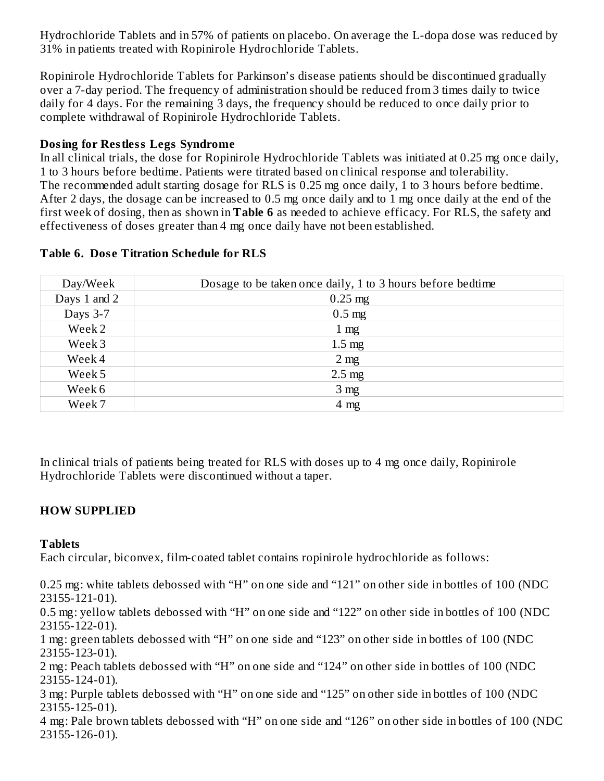Hydrochloride Tablets and in 57% of patients on placebo. On average the L-dopa dose was reduced by 31% in patients treated with Ropinirole Hydrochloride Tablets.

Ropinirole Hydrochloride Tablets for Parkinson's disease patients should be discontinued gradually over a 7-day period. The frequency of administration should be reduced from 3 times daily to twice daily for 4 days. For the remaining 3 days, the frequency should be reduced to once daily prior to complete withdrawal of Ropinirole Hydrochloride Tablets.

# **Dosing for Restless Legs Syndrome**

In all clinical trials, the dose for Ropinirole Hydrochloride Tablets was initiated at 0.25 mg once daily, 1 to 3 hours before bedtime. Patients were titrated based on clinical response and tolerability. The recommended adult starting dosage for RLS is 0.25 mg once daily, 1 to 3 hours before bedtime. After 2 days, the dosage can be increased to 0.5 mg once daily and to 1 mg once daily at the end of the first week of dosing, then as shown in **Table 6** as needed to achieve efficacy. For RLS, the safety and effectiveness of doses greater than 4 mg once daily have not been established.

| Day/Week     | Dosage to be taken once daily, 1 to 3 hours before bedtime |  |  |
|--------------|------------------------------------------------------------|--|--|
| Days 1 and 2 | $0.25$ mg                                                  |  |  |
| Days 3-7     | $0.5$ mg                                                   |  |  |
| Week 2       | $1 \text{ mg}$                                             |  |  |
| Week 3       | $1.5 \text{ mg}$                                           |  |  |
| Week 4       | 2 <sub>mg</sub>                                            |  |  |
| Week 5       | $2.5 \text{ mg}$                                           |  |  |
| Week 6       | 3 <sub>mg</sub>                                            |  |  |
| Week 7       | $4 \text{ mg}$                                             |  |  |

#### **Table 6. Dos e Titration Schedule for RLS**

In clinical trials of patients being treated for RLS with doses up to 4 mg once daily, Ropinirole Hydrochloride Tablets were discontinued without a taper.

# **HOW SUPPLIED**

### **Tablets**

Each circular, biconvex, film-coated tablet contains ropinirole hydrochloride as follows:

0.25 mg: white tablets debossed with "H" on one side and "121" on other side in bottles of 100 (NDC 23155-121-01).

0.5 mg: yellow tablets debossed with "H" on one side and "122" on other side in bottles of 100 (NDC 23155-122-01).

1 mg: green tablets debossed with "H" on one side and "123" on other side in bottles of 100 (NDC 23155-123-01).

2 mg: Peach tablets debossed with "H" on one side and "124" on other side in bottles of 100 (NDC 23155-124-01).

3 mg: Purple tablets debossed with "H" on one side and "125" on other side in bottles of 100 (NDC 23155-125-01).

4 mg: Pale brown tablets debossed with "H" on one side and "126" on other side in bottles of 100 (NDC 23155-126-01).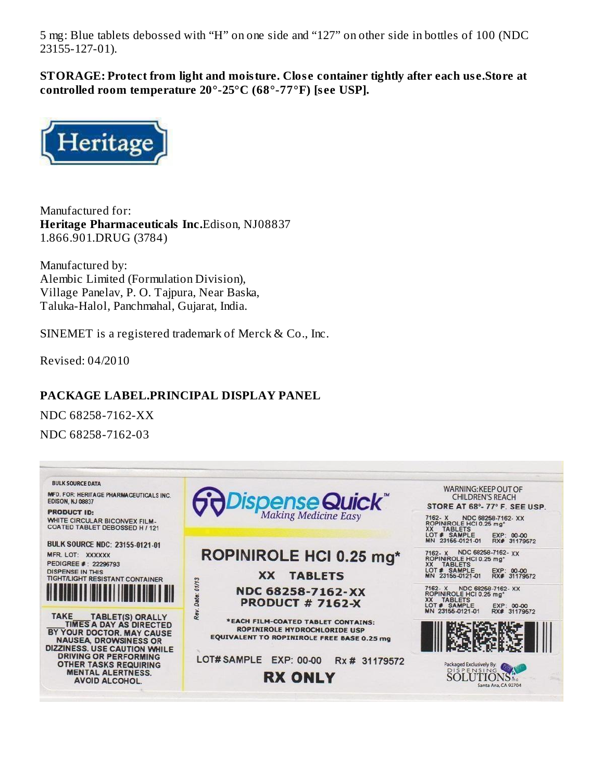5 mg: Blue tablets debossed with "H" on one side and "127" on other side in bottles of 100 (NDC 23155-127-01).

**STORAGE: Protect from light and moisture. Clos e container tightly after each us e.Store at controlled room temperature 20°-25°C (68°-77°F) [s ee USP].**



Manufactured for: **Heritage Pharmaceuticals Inc.**Edison, NJ08837 1.866.901.DRUG (3784)

Manufactured by: Alembic Limited (Formulation Division), Village Panelav, P. O. Tajpura, Near Baska, Taluka-Halol, Panchmahal, Gujarat, India.

SINEMET is a registered trademark of Merck & Co., Inc.

Revised: 04/2010

# **PACKAGE LABEL.PRINCIPAL DISPLAY PANEL**

NDC 68258-7162-XX NDC 68258-7162-03

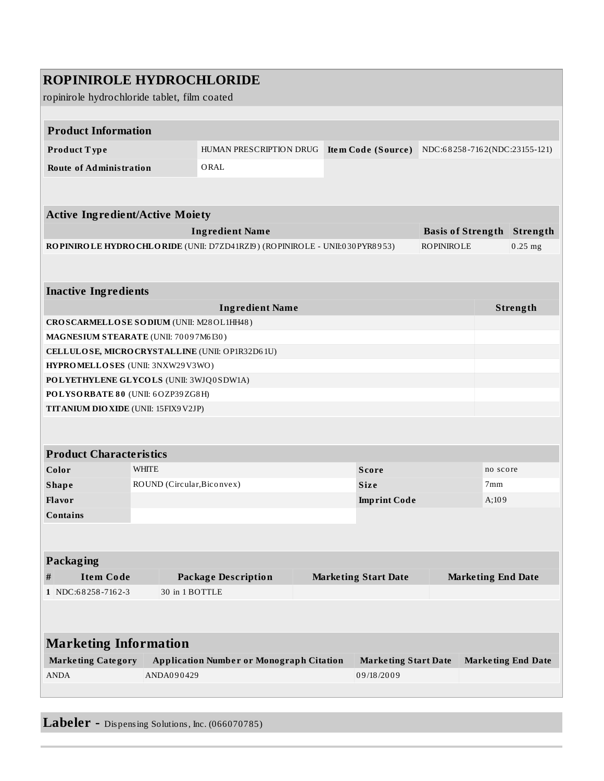| <b>ROPINIROLE HYDROCHLORIDE</b>                                                                                 |                                                                                                            |                                                                            |  |                           |                   |                 |                                   |
|-----------------------------------------------------------------------------------------------------------------|------------------------------------------------------------------------------------------------------------|----------------------------------------------------------------------------|--|---------------------------|-------------------|-----------------|-----------------------------------|
| ropinirole hydrochloride tablet, film coated                                                                    |                                                                                                            |                                                                            |  |                           |                   |                 |                                   |
|                                                                                                                 |                                                                                                            |                                                                            |  |                           |                   |                 |                                   |
| <b>Product Information</b>                                                                                      |                                                                                                            |                                                                            |  |                           |                   |                 |                                   |
| Product Type                                                                                                    |                                                                                                            | HUMAN PRESCRIPTION DRUG                                                    |  | Item Code (Source)        |                   |                 | NDC:68258-7162(NDC:23155-121)     |
| <b>Route of Administration</b>                                                                                  |                                                                                                            | ORAL                                                                       |  |                           |                   |                 |                                   |
|                                                                                                                 |                                                                                                            |                                                                            |  |                           |                   |                 |                                   |
|                                                                                                                 |                                                                                                            |                                                                            |  |                           |                   |                 |                                   |
| <b>Active Ingredient/Active Moiety</b>                                                                          |                                                                                                            |                                                                            |  |                           |                   |                 |                                   |
|                                                                                                                 |                                                                                                            | <b>Ingredient Name</b>                                                     |  |                           |                   |                 | <b>Basis of Strength Strength</b> |
|                                                                                                                 |                                                                                                            | ROPINIROLE HYDROCHLORIDE (UNII: D7ZD41RZI9) (ROPINIROLE - UNII:030PYR8953) |  |                           | <b>ROPINIROLE</b> |                 | $0.25$ mg                         |
|                                                                                                                 |                                                                                                            |                                                                            |  |                           |                   |                 |                                   |
|                                                                                                                 |                                                                                                            |                                                                            |  |                           |                   |                 |                                   |
| <b>Inactive Ingredients</b>                                                                                     |                                                                                                            |                                                                            |  |                           |                   |                 |                                   |
|                                                                                                                 |                                                                                                            | <b>Ingredient Name</b>                                                     |  |                           |                   |                 | Strength                          |
| CROSCARMELLOSE SODIUM (UNII: M28OL1HH48)                                                                        |                                                                                                            |                                                                            |  |                           |                   |                 |                                   |
| MAGNESIUM STEARATE (UNII: 70097M6I30)                                                                           |                                                                                                            |                                                                            |  |                           |                   |                 |                                   |
| CELLULOSE, MICRO CRYSTALLINE (UNII: OP1R32D61U)                                                                 |                                                                                                            |                                                                            |  |                           |                   |                 |                                   |
| HYPROMELLOSES (UNII: 3NXW29V3WO)                                                                                |                                                                                                            |                                                                            |  |                           |                   |                 |                                   |
| POLYETHYLENE GLYCOLS (UNII: 3WJQ0SDW1A)                                                                         |                                                                                                            |                                                                            |  |                           |                   |                 |                                   |
| POLYSORBATE 80 (UNII: 6OZP39ZG8H)                                                                               |                                                                                                            |                                                                            |  |                           |                   |                 |                                   |
| <b>TITANIUM DIO XIDE (UNII: 15FIX9V2JP)</b>                                                                     |                                                                                                            |                                                                            |  |                           |                   |                 |                                   |
|                                                                                                                 |                                                                                                            |                                                                            |  |                           |                   |                 |                                   |
| <b>Product Characteristics</b>                                                                                  |                                                                                                            |                                                                            |  |                           |                   |                 |                                   |
| Color                                                                                                           | <b>WHITE</b>                                                                                               |                                                                            |  | <b>Score</b>              |                   |                 |                                   |
| <b>Shape</b>                                                                                                    | ROUND (Circular, Biconvex)                                                                                 |                                                                            |  | <b>Size</b>               |                   | no score<br>7mm |                                   |
| Flavor                                                                                                          |                                                                                                            |                                                                            |  | <b>Imprint Code</b>       |                   | A;109           |                                   |
| Contains                                                                                                        |                                                                                                            |                                                                            |  |                           |                   |                 |                                   |
|                                                                                                                 |                                                                                                            |                                                                            |  |                           |                   |                 |                                   |
|                                                                                                                 |                                                                                                            |                                                                            |  |                           |                   |                 |                                   |
| Packaging                                                                                                       |                                                                                                            |                                                                            |  |                           |                   |                 |                                   |
| <b>Item Code</b><br><b>Package Description</b><br><b>Marketing End Date</b><br><b>Marketing Start Date</b><br># |                                                                                                            |                                                                            |  |                           |                   |                 |                                   |
| 1 NDC:68258-7162-3                                                                                              | 30 in 1 BOTTLE                                                                                             |                                                                            |  |                           |                   |                 |                                   |
|                                                                                                                 |                                                                                                            |                                                                            |  |                           |                   |                 |                                   |
|                                                                                                                 |                                                                                                            |                                                                            |  |                           |                   |                 |                                   |
| <b>Marketing Information</b>                                                                                    |                                                                                                            |                                                                            |  |                           |                   |                 |                                   |
|                                                                                                                 |                                                                                                            |                                                                            |  |                           |                   |                 |                                   |
| <b>Marketing Category</b><br><b>ANDA</b>                                                                        | <b>Application Number or Monograph Citation</b><br><b>Marketing Start Date</b><br>ANDA090429<br>09/18/2009 |                                                                            |  | <b>Marketing End Date</b> |                   |                 |                                   |
|                                                                                                                 |                                                                                                            |                                                                            |  |                           |                   |                 |                                   |

**Labeler -** Dispensing Solutions, Inc. (066070785)